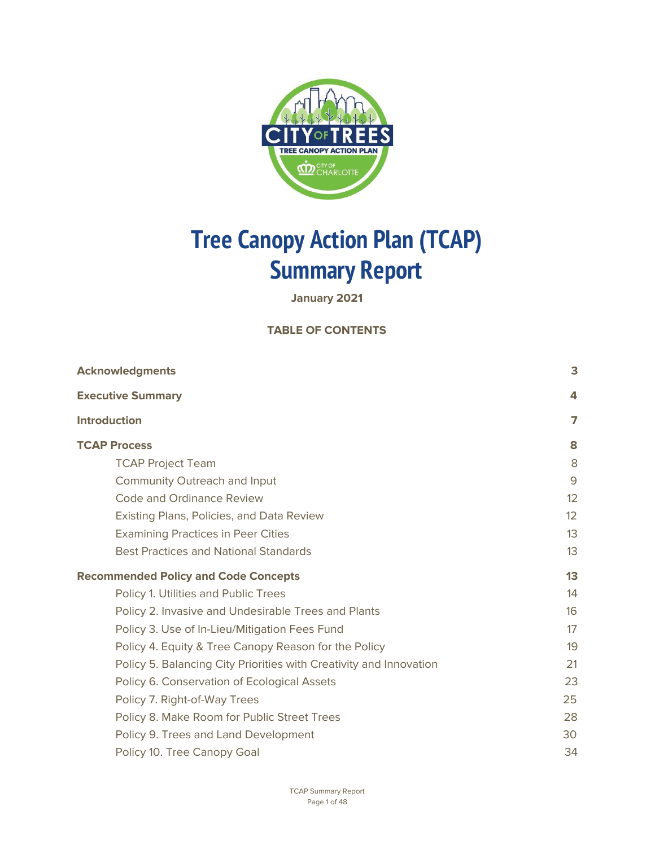

# **Tree Canopy Action Plan (TCAP) Summary Report**

**January 2021**

#### **TABLE OF CONTENTS**

| <b>Acknowledgments</b>                                             | 3              |
|--------------------------------------------------------------------|----------------|
| <b>Executive Summary</b>                                           | 4              |
| <b>Introduction</b>                                                | $\overline{7}$ |
| <b>TCAP Process</b>                                                | 8              |
| <b>TCAP Project Team</b>                                           | 8              |
| <b>Community Outreach and Input</b>                                | 9              |
| <b>Code and Ordinance Review</b>                                   | 12             |
| <b>Existing Plans, Policies, and Data Review</b>                   | 12             |
| <b>Examining Practices in Peer Cities</b>                          | 13             |
| <b>Best Practices and National Standards</b>                       | 13             |
| <b>Recommended Policy and Code Concepts</b>                        | 13             |
| Policy 1. Utilities and Public Trees                               | 14             |
| Policy 2. Invasive and Undesirable Trees and Plants                | 16             |
| Policy 3. Use of In-Lieu/Mitigation Fees Fund                      | 17             |
| Policy 4. Equity & Tree Canopy Reason for the Policy               | 19             |
| Policy 5. Balancing City Priorities with Creativity and Innovation | 21             |
| Policy 6. Conservation of Ecological Assets                        | 23             |
| Policy 7. Right-of-Way Trees                                       | 25             |
| Policy 8. Make Room for Public Street Trees                        | 28             |
| Policy 9. Trees and Land Development                               | 30             |
| Policy 10. Tree Canopy Goal                                        | 34             |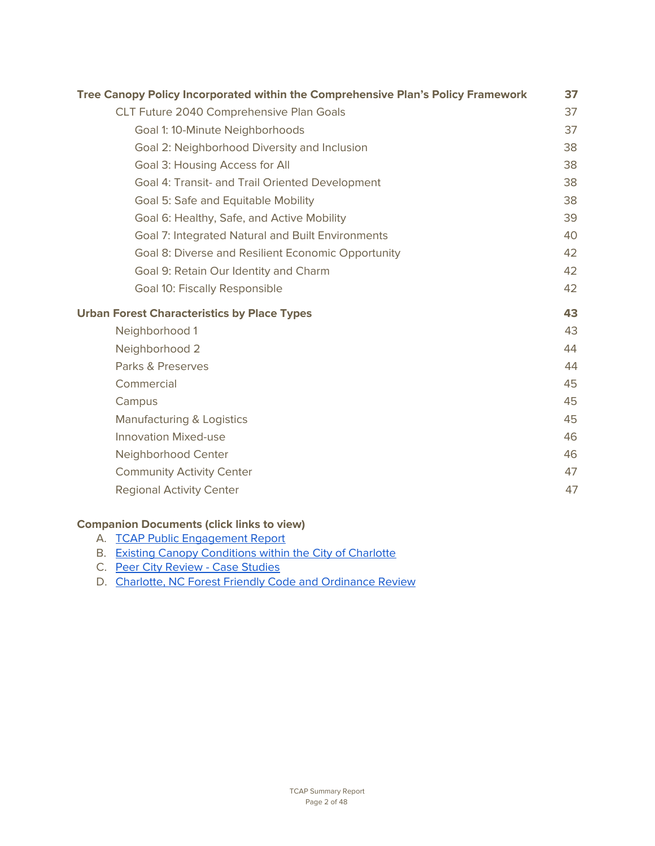| Tree Canopy Policy Incorporated within the Comprehensive Plan's Policy Framework | 37 |
|----------------------------------------------------------------------------------|----|
| CLT Future 2040 Comprehensive Plan Goals                                         | 37 |
| Goal 1: 10-Minute Neighborhoods                                                  | 37 |
| Goal 2: Neighborhood Diversity and Inclusion                                     | 38 |
| Goal 3: Housing Access for All                                                   | 38 |
| Goal 4: Transit- and Trail Oriented Development                                  | 38 |
| Goal 5: Safe and Equitable Mobility                                              | 38 |
| Goal 6: Healthy, Safe, and Active Mobility                                       | 39 |
| <b>Goal 7: Integrated Natural and Built Environments</b>                         | 40 |
| Goal 8: Diverse and Resilient Economic Opportunity                               | 42 |
| Goal 9: Retain Our Identity and Charm                                            | 42 |
| Goal 10: Fiscally Responsible                                                    | 42 |
| <b>Urban Forest Characteristics by Place Types</b>                               | 43 |
| Neighborhood 1                                                                   | 43 |
|                                                                                  |    |
| Neighborhood 2                                                                   | 44 |
| Parks & Preserves                                                                | 44 |
| Commercial                                                                       | 45 |
| Campus                                                                           | 45 |
| Manufacturing & Logistics                                                        | 45 |
| <b>Innovation Mixed-use</b>                                                      | 46 |
| Neighborhood Center                                                              | 46 |
| <b>Community Activity Center</b>                                                 | 47 |
| <b>Regional Activity Center</b>                                                  | 47 |

#### **Companion Documents (click links to view)**

- A. TCAP Public [Engagement](https://charlotteudo.org/wp-content/uploads/2021/01/Engagement-Report-final-CLT-TCAP.pdf) Report
- B. Existing Canopy [Conditions](https://charlotteudo.org/wp-content/uploads/2021/01/Existing-Conditions-Technical-Memo-final-CLT-TCAP.pdf) within the City of Charlotte
- C. Peer City Review Case [Studies](https://charlotteudo.org/wp-content/uploads/2021/01/Peer-city-review-final-CLT-TCAP.pdf)
- D. Charlotte, NC Forest Friendly Code and [Ordinance](https://charlotteudo.org/wp-content/uploads/2021/01/Forestry-Friendly-Code-and-Ordinance-Worksheet-final-CLT-TCAP.pdf) Review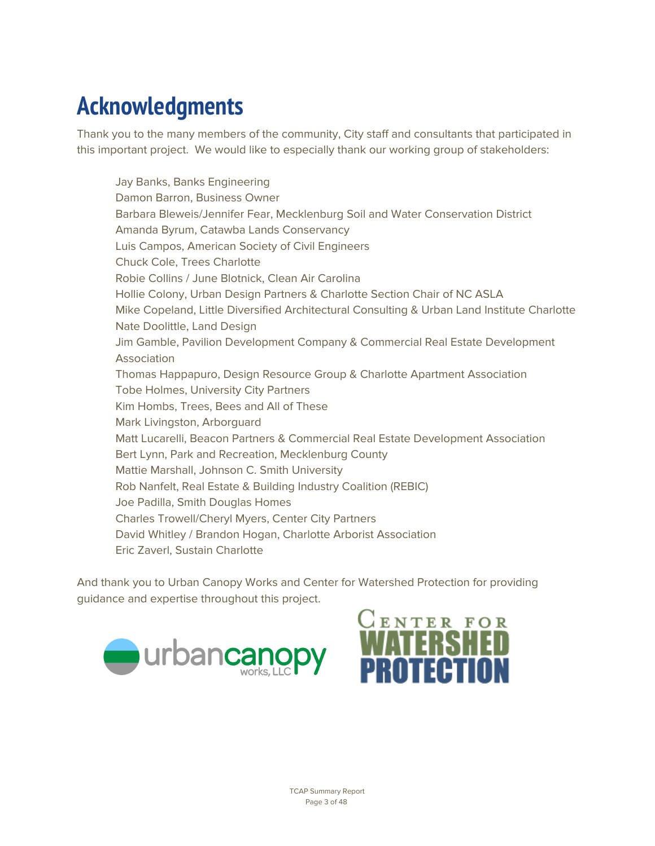# <span id="page-2-0"></span>**Acknowledgments**

Thank you to the many members of the community, City staff and consultants that participated in this important project. We would like to especially thank our working group of stakeholders:

Jay Banks, Banks Engineering Damon Barron, Business Owner Barbara Bleweis/Jennifer Fear, Mecklenburg Soil and Water Conservation District Amanda Byrum, Catawba Lands Conservancy Luis Campos, American Society of Civil Engineers Chuck Cole, Trees Charlotte Robie Collins / June Blotnick, Clean Air Carolina Hollie Colony, Urban Design Partners & Charlotte Section Chair of NC ASLA Mike Copeland, Little Diversified Architectural Consulting & Urban Land Institute Charlotte Nate Doolittle, Land Design Jim Gamble, Pavilion Development Company & Commercial Real Estate Development Association Thomas Happapuro, Design Resource Group & Charlotte Apartment Association Tobe Holmes, University City Partners Kim Hombs, Trees, Bees and All of These Mark Livingston, Arborguard Matt Lucarelli, Beacon Partners & Commercial Real Estate Development Association Bert Lynn, Park and Recreation, Mecklenburg County Mattie Marshall, Johnson C. Smith University Rob Nanfelt, Real Estate & Building Industry Coalition (REBIC) Joe Padilla, Smith Douglas Homes Charles Trowell/Cheryl Myers, Center City Partners David Whitley / Brandon Hogan, Charlotte Arborist Association Eric Zaverl, Sustain Charlotte

And thank you to Urban Canopy Works and Center for Watershed Protection for providing guidance and expertise throughout this project.

<span id="page-2-1"></span>

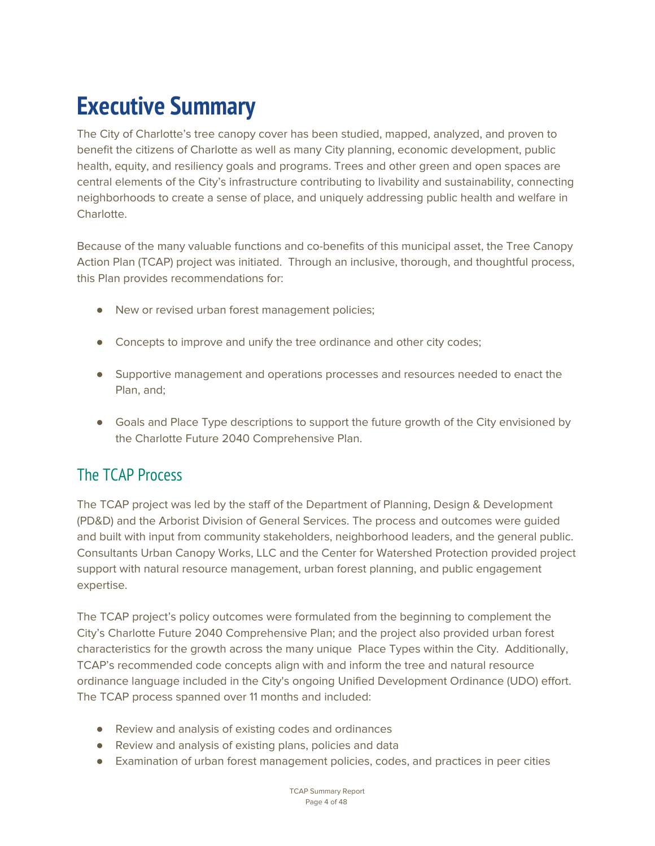# **Executive Summary**

The City of Charlotte's tree canopy cover has been studied, mapped, analyzed, and proven to benefit the citizens of Charlotte as well as many City planning, economic development, public health, equity, and resiliency goals and programs. Trees and other green and open spaces are central elements of the City's infrastructure contributing to livability and sustainability, connecting neighborhoods to create a sense of place, and uniquely addressing public health and welfare in Charlotte.

Because of the many valuable functions and co-benefits of this municipal asset, the Tree Canopy Action Plan (TCAP) project was initiated. Through an inclusive, thorough, and thoughtful process, this Plan provides recommendations for:

- New or revised urban forest management policies;
- Concepts to improve and unify the tree ordinance and other city codes;
- Supportive management and operations processes and resources needed to enact the Plan, and;
- Goals and Place Type descriptions to support the future growth of the City envisioned by the Charlotte Future 2040 Comprehensive Plan.

### The TCAP Process

The TCAP project was led by the staff of the Department of Planning, Design & Development (PD&D) and the Arborist Division of General Services. The process and outcomes were guided and built with input from community stakeholders, neighborhood leaders, and the general public. Consultants Urban Canopy Works, LLC and the Center for Watershed Protection provided project support with natural resource management, urban forest planning, and public engagement expertise.

The TCAP project's policy outcomes were formulated from the beginning to complement the City's Charlotte Future 2040 Comprehensive Plan; and the project also provided urban forest characteristics for the growth across the many unique Place Types within the City. Additionally, TCAP's recommended code concepts align with and inform the tree and natural resource ordinance language included in the City's ongoing Unified Development Ordinance (UDO) effort. The TCAP process spanned over 11 months and included:

- Review and analysis of existing codes and ordinances
- Review and analysis of existing plans, policies and data
- Examination of urban forest management policies, codes, and practices in peer cities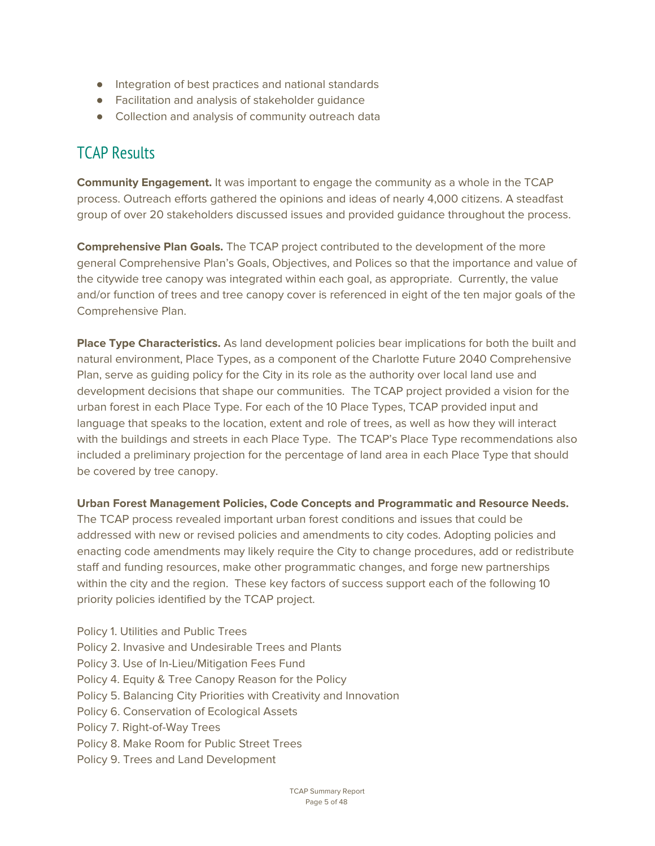- Integration of best practices and national standards
- Facilitation and analysis of stakeholder guidance
- Collection and analysis of community outreach data

### TCAP Results

**Community Engagement.** It was important to engage the community as a whole in the TCAP process. Outreach efforts gathered the opinions and ideas of nearly 4,000 citizens. A steadfast group of over 20 stakeholders discussed issues and provided guidance throughout the process.

**Comprehensive Plan Goals.** The TCAP project contributed to the development of the more general Comprehensive Plan's Goals, Objectives, and Polices so that the importance and value of the citywide tree canopy was integrated within each goal, as appropriate. Currently, the value and/or function of trees and tree canopy cover is referenced in eight of the ten major goals of the Comprehensive Plan.

**Place Type Characteristics.** As land development policies bear implications for both the built and natural environment, Place Types, as a component of the Charlotte Future 2040 Comprehensive Plan, serve as guiding policy for the City in its role as the authority over local land use and development decisions that shape our communities. The TCAP project provided a vision for the urban forest in each Place Type. For each of the 10 Place Types, TCAP provided input and language that speaks to the location, extent and role of trees, as well as how they will interact with the buildings and streets in each Place Type. The TCAP's Place Type recommendations also included a preliminary projection for the percentage of land area in each Place Type that should be covered by tree canopy.

#### **Urban Forest Management Policies, Code Concepts and Programmatic and Resource Needs.**

The TCAP process revealed important urban forest conditions and issues that could be addressed with new or revised policies and amendments to city codes. Adopting policies and enacting code amendments may likely require the City to change procedures, add or redistribute staff and funding resources, make other programmatic changes, and forge new partnerships within the city and the region. These key factors of success support each of the following 10 priority policies identified by the TCAP project.

- Policy 1. Utilities and Public Trees
- Policy 2. Invasive and Undesirable Trees and Plants
- Policy 3. Use of In-Lieu/Mitigation Fees Fund
- Policy 4. Equity & Tree Canopy Reason for the Policy
- Policy 5. Balancing City Priorities with Creativity and Innovation
- Policy 6. Conservation of Ecological Assets
- Policy 7. Right-of-Way Trees
- Policy 8. Make Room for Public Street Trees
- Policy 9. Trees and Land Development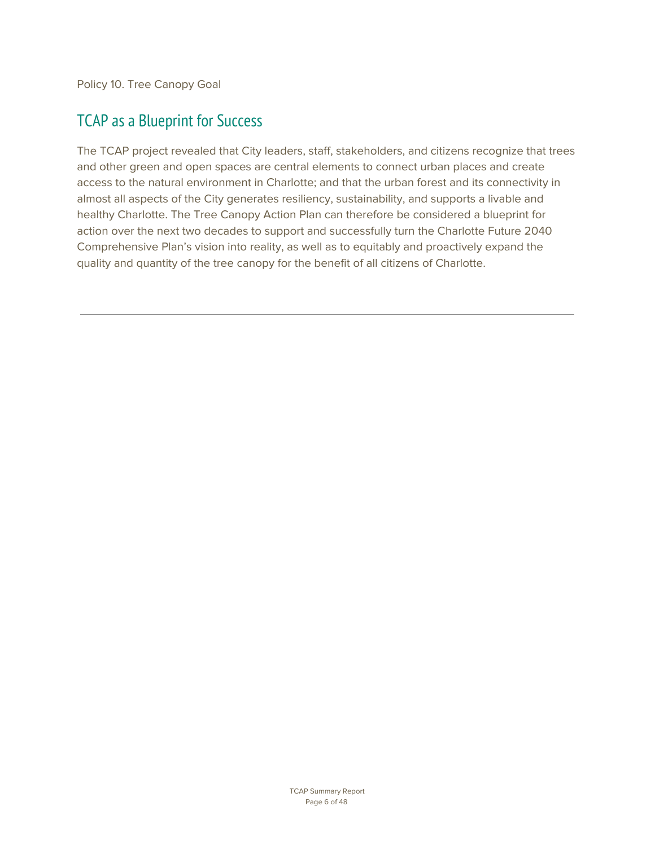Policy 10. Tree Canopy Goal

### TCAP as a Blueprint for Success

The TCAP project revealed that City leaders, staff, stakeholders, and citizens recognize that trees and other green and open spaces are central elements to connect urban places and create access to the natural environment in Charlotte; and that the urban forest and its connectivity in almost all aspects of the City generates resiliency, sustainability, and supports a livable and healthy Charlotte. The Tree Canopy Action Plan can therefore be considered a blueprint for action over the next two decades to support and successfully turn the Charlotte Future 2040 Comprehensive Plan's vision into reality, as well as to equitably and proactively expand the quality and quantity of the tree canopy for the benefit of all citizens of Charlotte.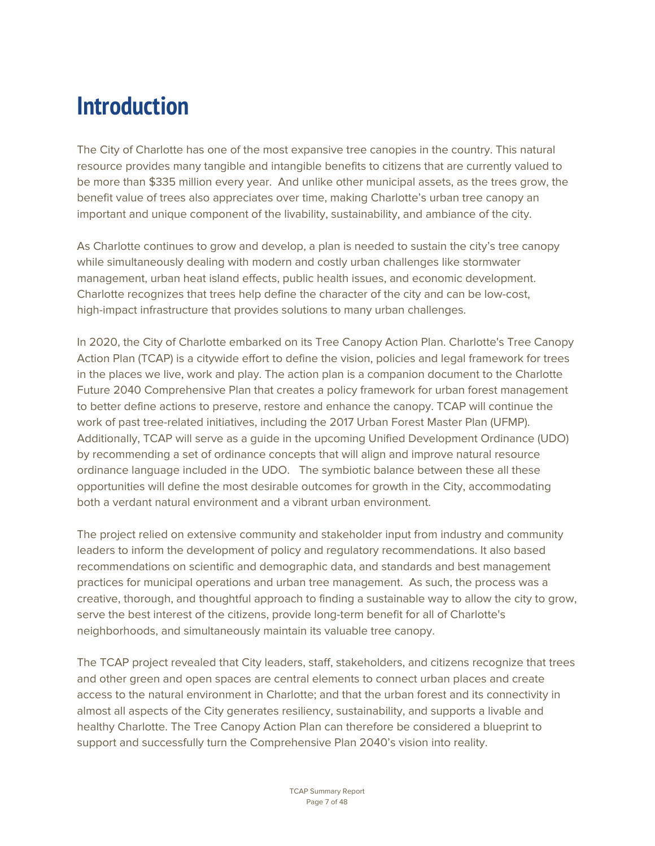# <span id="page-6-0"></span>**Introduction**

The City of Charlotte has one of the most expansive tree canopies in the country. This natural resource provides many tangible and intangible benefits to citizens that are currently valued to be more than \$335 million every year. And unlike other municipal assets, as the trees grow, the benefit value of trees also appreciates over time, making Charlotte's urban tree canopy an important and unique component of the livability, sustainability, and ambiance of the city.

As Charlotte continues to grow and develop, a plan is needed to sustain the city's tree canopy while simultaneously dealing with modern and costly urban challenges like stormwater management, urban heat island effects, public health issues, and economic development. Charlotte recognizes that trees help define the character of the city and can be low-cost, high-impact infrastructure that provides solutions to many urban challenges.

In 2020, the City of Charlotte embarked on its Tree Canopy Action Plan. Charlotte's Tree Canopy Action Plan (TCAP) is a citywide effort to define the vision, policies and legal framework for trees in the places we live, work and play. The action plan is a companion document to the Charlotte Future 2040 Comprehensive Plan that creates a policy framework for urban forest management to better define actions to preserve, restore and enhance the canopy. TCAP will continue the work of past tree-related initiatives, including the 2017 Urban Forest Master Plan (UFMP). Additionally, TCAP will serve as a guide in the upcoming Unified Development Ordinance (UDO) by recommending a set of ordinance concepts that will align and improve natural resource ordinance language included in the UDO. The symbiotic balance between these all these opportunities will define the most desirable outcomes for growth in the City, accommodating both a verdant natural environment and a vibrant urban environment.

The project relied on extensive community and stakeholder input from industry and community leaders to inform the development of policy and regulatory recommendations. It also based recommendations on scientific and demographic data, and standards and best management practices for municipal operations and urban tree management. As such, the process was a creative, thorough, and thoughtful approach to finding a sustainable way to allow the city to grow, serve the best interest of the citizens, provide long-term benefit for all of Charlotte's neighborhoods, and simultaneously maintain its valuable tree canopy.

The TCAP project revealed that City leaders, staff, stakeholders, and citizens recognize that trees and other green and open spaces are central elements to connect urban places and create access to the natural environment in Charlotte; and that the urban forest and its connectivity in almost all aspects of the City generates resiliency, sustainability, and supports a livable and healthy Charlotte. The Tree Canopy Action Plan can therefore be considered a blueprint to support and successfully turn the Comprehensive Plan 2040's vision into reality.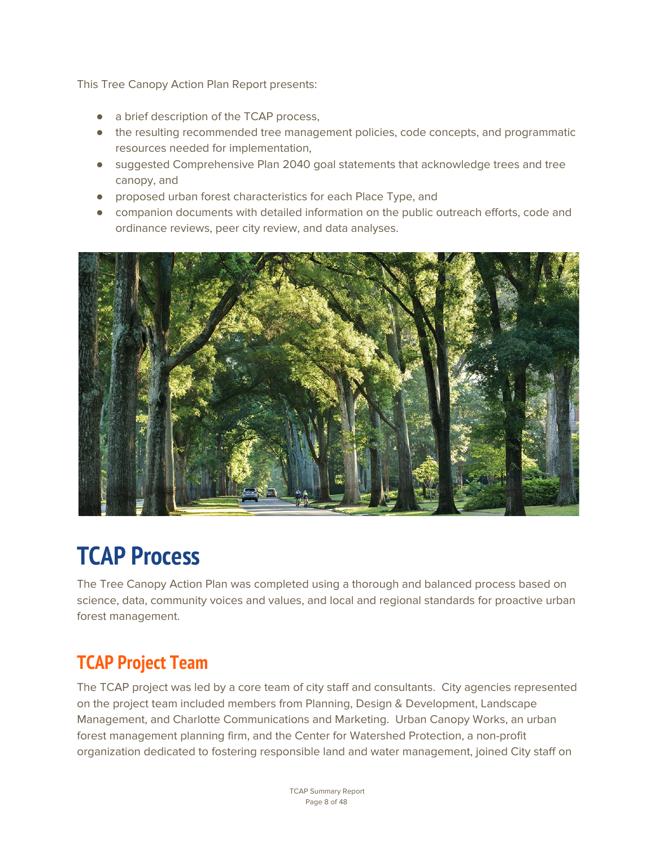This Tree Canopy Action Plan Report presents:

- a brief description of the TCAP process,
- the resulting recommended tree management policies, code concepts, and programmatic resources needed for implementation,
- suggested Comprehensive Plan 2040 goal statements that acknowledge trees and tree canopy, and
- proposed urban forest characteristics for each Place Type, and
- companion documents with detailed information on the public outreach efforts, code and ordinance reviews, peer city review, and data analyses.



# <span id="page-7-0"></span>**TCAP Process**

The Tree Canopy Action Plan was completed using a thorough and balanced process based on science, data, community voices and values, and local and regional standards for proactive urban forest management.

# <span id="page-7-1"></span>**TCAP Project Team**

The TCAP project was led by a core team of city staff and consultants. City agencies represented on the project team included members from Planning, Design & Development, Landscape Management, and Charlotte Communications and Marketing. Urban Canopy Works, an urban forest management planning firm, and the Center for Watershed Protection, a non-profit organization dedicated to fostering responsible land and water management, joined City staff on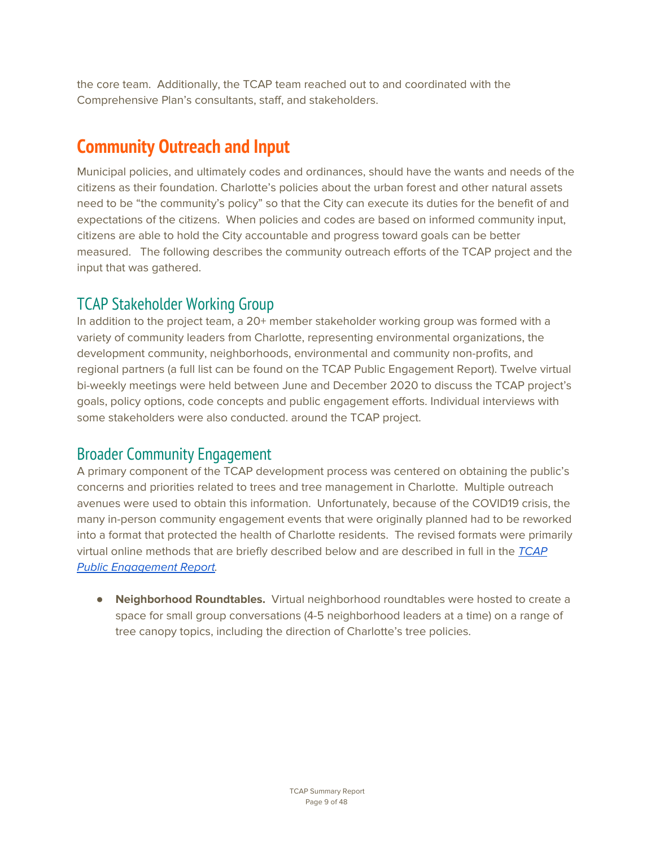the core team. Additionally, the TCAP team reached out to and coordinated with the Comprehensive Plan's consultants, staff, and stakeholders.

# <span id="page-8-0"></span>**Community Outreach and Input**

Municipal policies, and ultimately codes and ordinances, should have the wants and needs of the citizens as their foundation. Charlotte's policies about the urban forest and other natural assets need to be "the community's policy" so that the City can execute its duties for the benefit of and expectations of the citizens. When policies and codes are based on informed community input, citizens are able to hold the City accountable and progress toward goals can be better measured. The following describes the community outreach efforts of the TCAP project and the input that was gathered.

### TCAP Stakeholder Working Group

In addition to the project team, a 20+ member stakeholder working group was formed with a variety of community leaders from Charlotte, representing environmental organizations, the development community, neighborhoods, environmental and community non-profits, and regional partners (a full list can be found on the TCAP Public Engagement Report). Twelve virtual bi-weekly meetings were held between June and December 2020 to discuss the TCAP project's goals, policy options, code concepts and public engagement efforts. Individual interviews with some stakeholders were also conducted. around the TCAP project.

### Broader Community Engagement

A primary component of the TCAP development process was centered on obtaining the public's concerns and priorities related to trees and tree management in Charlotte. Multiple outreach avenues were used to obtain this information. Unfortunately, because of the COVID19 crisis, the many in-person community engagement events that were originally planned had to be reworked into a format that protected the health of Charlotte residents. The revised formats were primarily virtual online methods that are briefly described below and are described in full in the **[TCAP](https://charlotteudo.org/wp-content/uploads/2021/01/Engagement-Report-final-CLT-TCAP.pdf)** Public [Engagement](https://charlotteudo.org/wp-content/uploads/2021/01/Engagement-Report-final-CLT-TCAP.pdf) Report.

● **Neighborhood Roundtables.** Virtual neighborhood roundtables were hosted to create a space for small group conversations (4-5 neighborhood leaders at a time) on a range of tree canopy topics, including the direction of Charlotte's tree policies.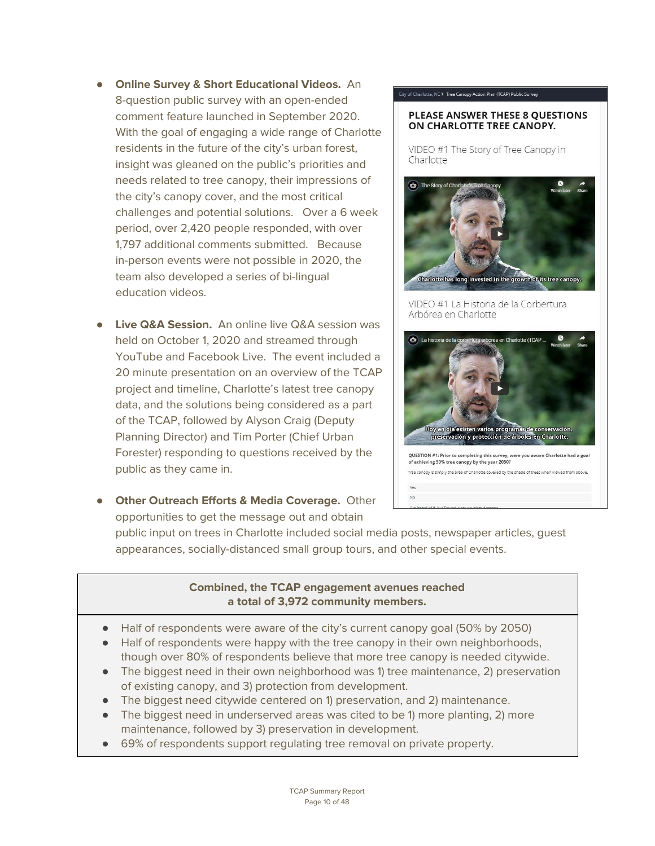- **Online Survey & Short Educational Videos.** An 8-question public survey with an open-ended comment feature launched in September 2020. With the goal of engaging a wide range of Charlotte residents in the future of the city's urban forest, insight was gleaned on the public's priorities and needs related to tree canopy, their impressions of the city's canopy cover, and the most critical challenges and potential solutions. Over a 6 week period, over 2,420 people responded, with over 1,797 additional comments submitted. Because in-person events were not possible in 2020, the team also developed a series of bi-lingual education videos.
- **Live Q&A Session.** An online live Q&A session was held on October 1, 2020 and streamed through YouTube and Facebook Live. The event included a 20 minute presentation on an overview of the TCAP project and timeline, Charlotte's latest tree canopy data, and the solutions being considered as a part of the TCAP, followed by Alyson Craig (Deputy Planning Director) and Tim Porter (Chief Urban Forester) responding to questions received by the public as they came in.

City of Charlotte, NC ▶ Tree Canopy Action Plan (TCAP) Public Survey

#### PLEASE ANSWER THESE 8 QUESTIONS ON CHARLOTTE TREE CANOPY.

VIDEO #1 The Story of Tree Canopy in Charlotte



VIDEO #1 La Historia de la Corbertura Arbórea en Charlotte



● **Other Outreach Efforts & Media Coverage.** Other opportunities to get the message out and obtain

public input on trees in Charlotte included social media posts, newspaper articles, guest appearances, socially-distanced small group tours, and other special events.

#### **Combined, the TCAP engagement avenues reached a total of 3,972 community members.**

- Half of respondents were aware of the city's current canopy goal (50% by 2050)
- Half of respondents were happy with the tree canopy in their own neighborhoods, though over 80% of respondents believe that more tree canopy is needed citywide.
- The biggest need in their own neighborhood was 1) tree maintenance, 2) preservation of existing canopy, and 3) protection from development.
- The biggest need citywide centered on 1) preservation, and 2) maintenance.
- The biggest need in underserved areas was cited to be 1) more planting, 2) more maintenance, followed by 3) preservation in development.
- 69% of respondents support regulating tree removal on private property.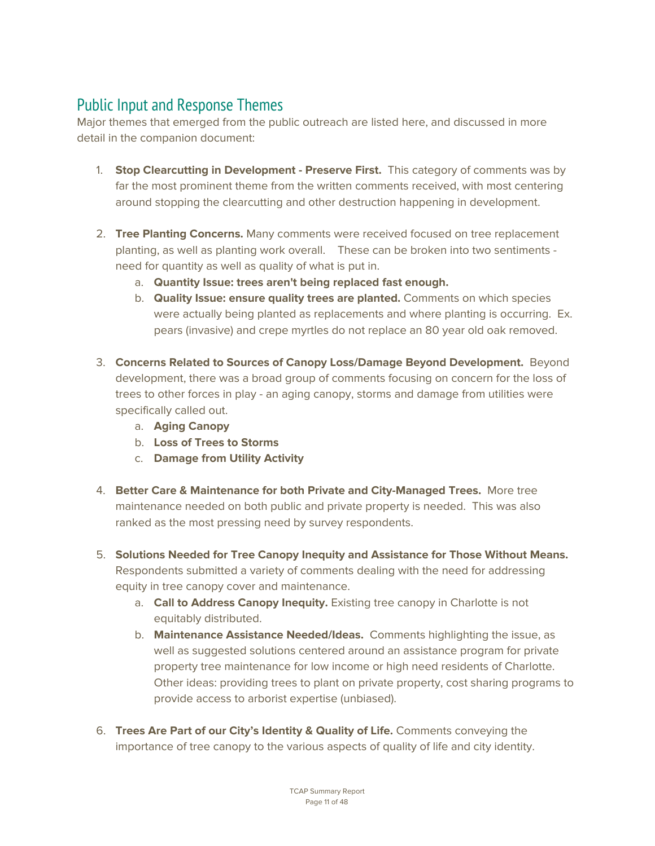### Public Input and Response Themes

Major themes that emerged from the public outreach are listed here, and discussed in more detail in the companion document:

- 1. **Stop Clearcutting in Development - Preserve First.** This category of comments was by far the most prominent theme from the written comments received, with most centering around stopping the clearcutting and other destruction happening in development.
- 2. **Tree Planting Concerns.** Many comments were received focused on tree replacement planting, as well as planting work overall. These can be broken into two sentiments need for quantity as well as quality of what is put in.
	- a. **Quantity Issue: trees aren't being replaced fast enough.**
	- b. **Quality Issue: ensure quality trees are planted.** Comments on which species were actually being planted as replacements and where planting is occurring. Ex. pears (invasive) and crepe myrtles do not replace an 80 year old oak removed.
- 3. **Concerns Related to Sources of Canopy Loss/Damage Beyond Development.** Beyond development, there was a broad group of comments focusing on concern for the loss of trees to other forces in play - an aging canopy, storms and damage from utilities were specifically called out.
	- a. **Aging Canopy**
	- b. **Loss of Trees to Storms**
	- c. **Damage from Utility Activity**
- 4. **Better Care & Maintenance for both Private and City-Managed Trees.** More tree maintenance needed on both public and private property is needed. This was also ranked as the most pressing need by survey respondents.
- 5. **Solutions Needed for Tree Canopy Inequity and Assistance for Those Without Means.** Respondents submitted a variety of comments dealing with the need for addressing equity in tree canopy cover and maintenance.
	- a. **Call to Address Canopy Inequity.** Existing tree canopy in Charlotte is not equitably distributed.
	- b. **Maintenance Assistance Needed/Ideas.** Comments highlighting the issue, as well as suggested solutions centered around an assistance program for private property tree maintenance for low income or high need residents of Charlotte. Other ideas: providing trees to plant on private property, cost sharing programs to provide access to arborist expertise (unbiased).
- 6. **Trees Are Part of our City's Identity & Quality of Life.** Comments conveying the importance of tree canopy to the various aspects of quality of life and city identity.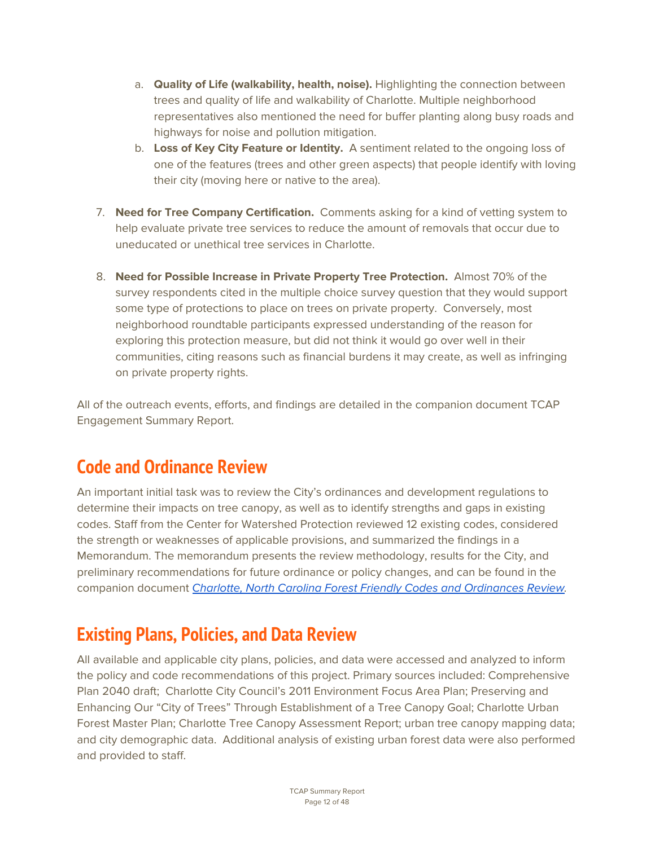- a. **Quality of Life (walkability, health, noise).** Highlighting the connection between trees and quality of life and walkability of Charlotte. Multiple neighborhood representatives also mentioned the need for buffer planting along busy roads and highways for noise and pollution mitigation.
- b. **Loss of Key City Feature or Identity.** A sentiment related to the ongoing loss of one of the features (trees and other green aspects) that people identify with loving their city (moving here or native to the area).
- 7. **Need for Tree Company Certification.** Comments asking for a kind of vetting system to help evaluate private tree services to reduce the amount of removals that occur due to uneducated or unethical tree services in Charlotte.
- 8. **Need for Possible Increase in Private Property Tree Protection.** Almost 70% of the survey respondents cited in the multiple choice survey question that they would support some type of protections to place on trees on private property. Conversely, most neighborhood roundtable participants expressed understanding of the reason for exploring this protection measure, but did not think it would go over well in their communities, citing reasons such as financial burdens it may create, as well as infringing on private property rights.

All of the outreach events, efforts, and findings are detailed in the companion document TCAP Engagement Summary Report.

## <span id="page-11-0"></span>**Code and Ordinance Review**

An important initial task was to review the City's ordinances and development regulations to determine their impacts on tree canopy, as well as to identify strengths and gaps in existing codes. Staff from the Center for Watershed Protection reviewed 12 existing codes, considered the strength or weaknesses of applicable provisions, and summarized the findings in a Memorandum. The memorandum presents the review methodology, results for the City, and preliminary recommendations for future ordinance or policy changes, and can be found in the companion document Charlotte, North Carolina Forest Friendly Codes and [Ordinances](https://charlotteudo.org/wp-content/uploads/2021/01/Forestry-Friendly-Code-and-Ordinance-Worksheet-final-CLT-TCAP.pdf) Review.

## <span id="page-11-1"></span>**Existing Plans, Policies, and Data Review**

All available and applicable city plans, policies, and data were accessed and analyzed to inform the policy and code recommendations of this project. Primary sources included: Comprehensive Plan 2040 draft; Charlotte City Council's 2011 Environment Focus Area Plan; Preserving and Enhancing Our "City of Trees" Through Establishment of a Tree Canopy Goal; Charlotte Urban Forest Master Plan; Charlotte Tree Canopy Assessment Report; urban tree canopy mapping data; and city demographic data. Additional analysis of existing urban forest data were also performed and provided to staff.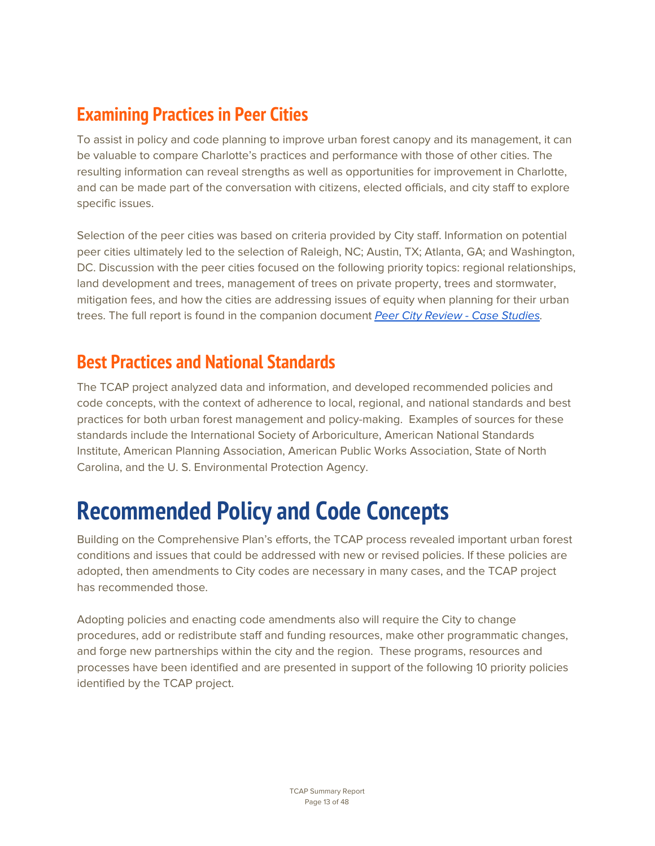# <span id="page-12-0"></span>**Examining Practices in Peer Cities**

To assist in policy and code planning to improve urban forest canopy and its management, it can be valuable to compare Charlotte's practices and performance with those of other cities. The resulting information can reveal strengths as well as opportunities for improvement in Charlotte, and can be made part of the conversation with citizens, elected officials, and city staff to explore specific issues.

Selection of the peer cities was based on criteria provided by City staff. Information on potential peer cities ultimately led to the selection of Raleigh, NC; Austin, TX; Atlanta, GA; and Washington, DC. Discussion with the peer cities focused on the following priority topics: regional relationships, land development and trees, management of trees on private property, trees and stormwater, mitigation fees, and how the cities are addressing issues of equity when planning for their urban trees. The full report is found in the companion document Peer City Review - Case [Studies.](https://charlotteudo.org/wp-content/uploads/2021/01/Peer-city-review-final-CLT-TCAP.pdf)

### <span id="page-12-1"></span>**Best Practices and National Standards**

The TCAP project analyzed data and information, and developed recommended policies and code concepts, with the context of adherence to local, regional, and national standards and best practices for both urban forest management and policy-making. Examples of sources for these standards include the International Society of Arboriculture, American National Standards Institute, American Planning Association, American Public Works Association, State of North Carolina, and the U. S. Environmental Protection Agency.

# <span id="page-12-2"></span>**Recommended Policy and Code Concepts**

Building on the Comprehensive Plan's efforts, the TCAP process revealed important urban forest conditions and issues that could be addressed with new or revised policies. If these policies are adopted, then amendments to City codes are necessary in many cases, and the TCAP project has recommended those.

Adopting policies and enacting code amendments also will require the City to change procedures, add or redistribute staff and funding resources, make other programmatic changes, and forge new partnerships within the city and the region. These programs, resources and processes have been identified and are presented in support of the following 10 priority policies identified by the TCAP project.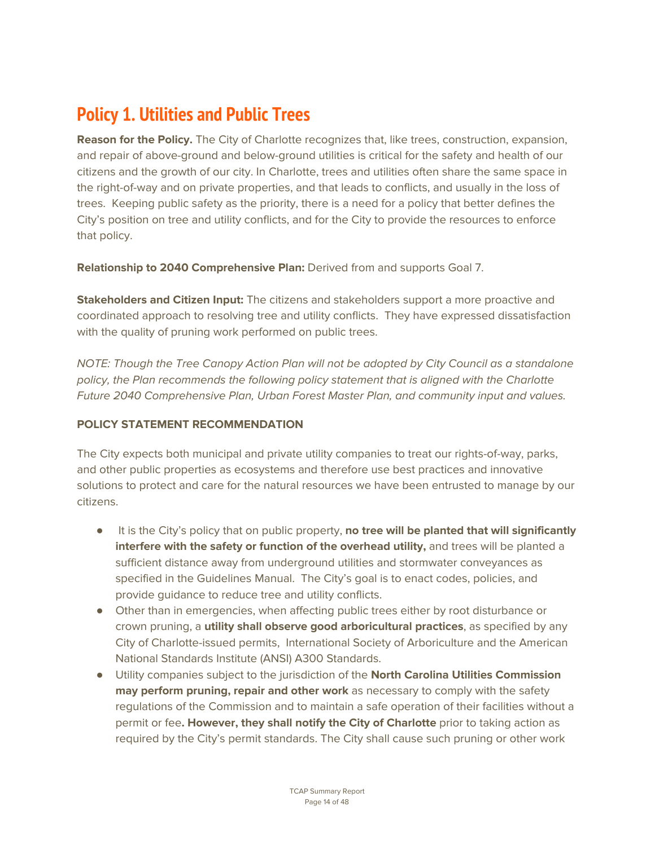# <span id="page-13-0"></span>**Policy 1. Utilities and Public Trees**

**Reason for the Policy.** The City of Charlotte recognizes that, like trees, construction, expansion, and repair of above-ground and below-ground utilities is critical for the safety and health of our citizens and the growth of our city. In Charlotte, trees and utilities often share the same space in the right-of-way and on private properties, and that leads to conflicts, and usually in the loss of trees. Keeping public safety as the priority, there is a need for a policy that better defines the City's position on tree and utility conflicts, and for the City to provide the resources to enforce that policy.

**Relationship to 2040 Comprehensive Plan:** Derived from and supports Goal 7.

**Stakeholders and Citizen Input:** The citizens and stakeholders support a more proactive and coordinated approach to resolving tree and utility conflicts. They have expressed dissatisfaction with the quality of pruning work performed on public trees.

NOTE: Though the Tree Canopy Action Plan will not be adopted by City Council as a standalone policy, the Plan recommends the following policy statement that is aligned with the Charlotte Future 2040 Comprehensive Plan, Urban Forest Master Plan, and community input and values.

#### **POLICY STATEMENT RECOMMENDATION**

The City expects both municipal and private utility companies to treat our rights-of-way, parks, and other public properties as ecosystems and therefore use best practices and innovative solutions to protect and care for the natural resources we have been entrusted to manage by our citizens.

- It is the City's policy that on public property, **no tree will be planted that will significantly interfere with the safety or function of the overhead utility,** and trees will be planted a sufficient distance away from underground utilities and stormwater conveyances as specified in the Guidelines Manual. The City's goal is to enact codes, policies, and provide guidance to reduce tree and utility conflicts.
- Other than in emergencies, when affecting public trees either by root disturbance or crown pruning, a **utility shall observe good arboricultural practices**, as specified by any City of Charlotte-issued permits, International Society of Arboriculture and the American National Standards Institute (ANSI) A300 Standards.
- Utility companies subject to the jurisdiction of the **North Carolina Utilities Commission may perform pruning, repair and other work** as necessary to comply with the safety regulations of the Commission and to maintain a safe operation of their facilities without a permit or fee**. However, they shall notify the City of Charlotte** prior to taking action as required by the City's permit standards. The City shall cause such pruning or other work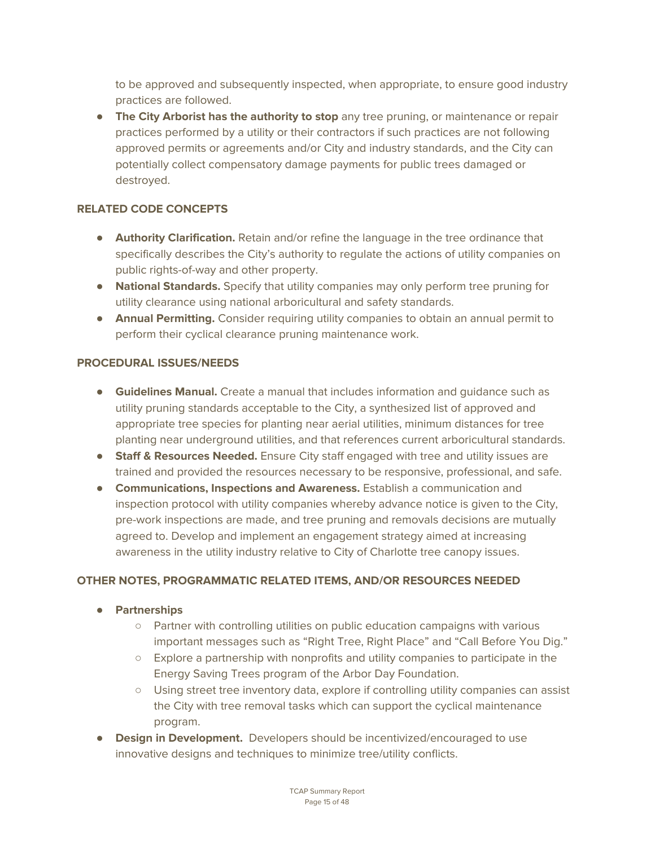to be approved and subsequently inspected, when appropriate, to ensure good industry practices are followed.

● **The City Arborist has the authority to stop** any tree pruning, or maintenance or repair practices performed by a utility or their contractors if such practices are not following approved permits or agreements and/or City and industry standards, and the City can potentially collect compensatory damage payments for public trees damaged or destroyed.

#### **RELATED CODE CONCEPTS**

- **Authority Clarification.** Retain and/or refine the language in the tree ordinance that specifically describes the City's authority to regulate the actions of utility companies on public rights-of-way and other property.
- **National Standards.** Specify that utility companies may only perform tree pruning for utility clearance using national arboricultural and safety standards.
- **Annual Permitting.** Consider requiring utility companies to obtain an annual permit to perform their cyclical clearance pruning maintenance work.

#### **PROCEDURAL ISSUES/NEEDS**

- **Guidelines Manual.** Create a manual that includes information and guidance such as utility pruning standards acceptable to the City, a synthesized list of approved and appropriate tree species for planting near aerial utilities, minimum distances for tree planting near underground utilities, and that references current arboricultural standards.
- **Staff & Resources Needed.** Ensure City staff engaged with tree and utility issues are trained and provided the resources necessary to be responsive, professional, and safe.
- **Communications, Inspections and Awareness.** Establish a communication and inspection protocol with utility companies whereby advance notice is given to the City, pre-work inspections are made, and tree pruning and removals decisions are mutually agreed to. Develop and implement an engagement strategy aimed at increasing awareness in the utility industry relative to City of Charlotte tree canopy issues.

#### **OTHER NOTES, PROGRAMMATIC RELATED ITEMS, AND/OR RESOURCES NEEDED**

#### **● Partnerships**

- Partner with controlling utilities on public education campaigns with various important messages such as "Right Tree, Right Place" and "Call Before You Dig."
- Explore a partnership with nonprofits and utility companies to participate in the Energy Saving Trees program of the Arbor Day Foundation.
- Using street tree inventory data, explore if controlling utility companies can assist the City with tree removal tasks which can support the cyclical maintenance program.
- **Design in Development.** Developers should be incentivized/encouraged to use innovative designs and techniques to minimize tree/utility conflicts.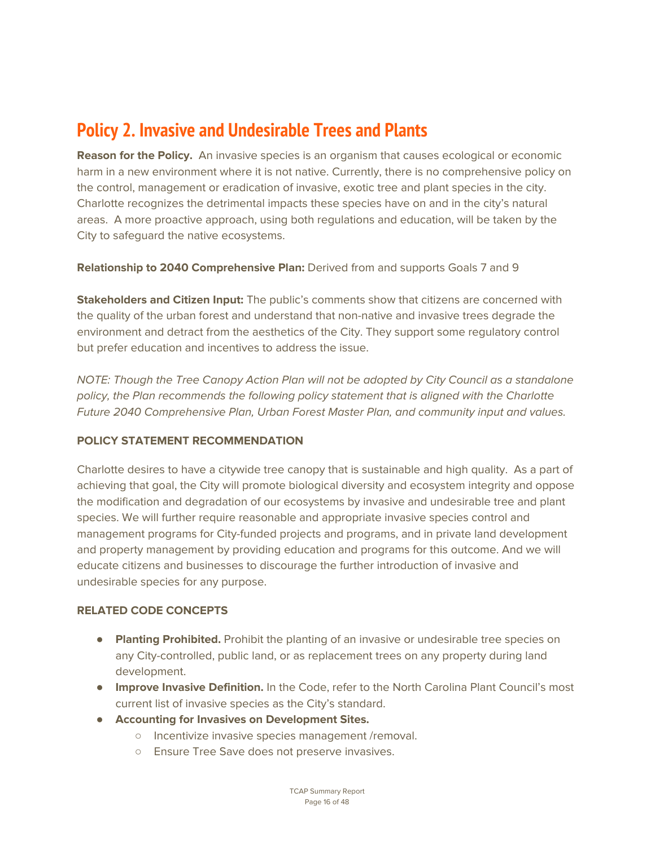## <span id="page-15-0"></span>**Policy 2. Invasive and Undesirable Trees and Plants**

**Reason for the Policy.** An invasive species is an organism that causes ecological or economic harm in a new environment where it is not native. Currently, there is no comprehensive policy on the control, management or eradication of invasive, exotic tree and plant species in the city. Charlotte recognizes the detrimental impacts these species have on and in the city's natural areas. A more proactive approach, using both regulations and education, will be taken by the City to safeguard the native ecosystems.

**Relationship to 2040 Comprehensive Plan:** Derived from and supports Goals 7 and 9

**Stakeholders and Citizen Input:** The public's comments show that citizens are concerned with the quality of the urban forest and understand that non-native and invasive trees degrade the environment and detract from the aesthetics of the City. They support some regulatory control but prefer education and incentives to address the issue.

NOTE: Though the Tree Canopy Action Plan will not be adopted by City Council as a standalone policy, the Plan recommends the following policy statement that is aligned with the Charlotte Future 2040 Comprehensive Plan, Urban Forest Master Plan, and community input and values.

#### **POLICY STATEMENT RECOMMENDATION**

Charlotte desires to have a citywide tree canopy that is sustainable and high quality. As a part of achieving that goal, the City will promote biological diversity and ecosystem integrity and oppose the modification and degradation of our ecosystems by invasive and undesirable tree and plant species. We will further require reasonable and appropriate invasive species control and management programs for City-funded projects and programs, and in private land development and property management by providing education and programs for this outcome. And we will educate citizens and businesses to discourage the further introduction of invasive and undesirable species for any purpose.

#### **RELATED CODE CONCEPTS**

- **Planting Prohibited.** Prohibit the planting of an invasive or undesirable tree species on any City-controlled, public land, or as replacement trees on any property during land development.
- **Improve Invasive Definition.** In the Code, refer to the North Carolina Plant Council's most current list of invasive species as the City's standard.
- **● Accounting for Invasives on Development Sites.**
	- Incentivize invasive species management /removal.
	- Ensure Tree Save does not preserve invasives.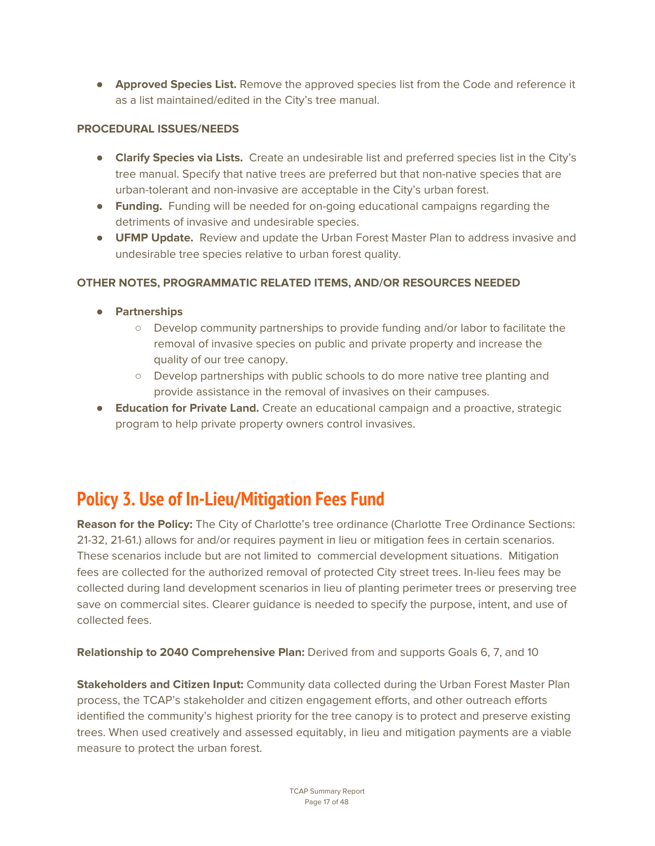● **Approved Species List.** Remove the approved species list from the Code and reference it as a list maintained/edited in the City's tree manual.

#### **PROCEDURAL ISSUES/NEEDS**

- **Clarify Species via Lists.** Create an undesirable list and preferred species list in the City's tree manual. Specify that native trees are preferred but that non-native species that are urban-tolerant and non-invasive are acceptable in the City's urban forest.
- **Funding.** Funding will be needed for on-going educational campaigns regarding the detriments of invasive and undesirable species.
- **UFMP Update.** Review and update the Urban Forest Master Plan to address invasive and undesirable tree species relative to urban forest quality.

#### **OTHER NOTES, PROGRAMMATIC RELATED ITEMS, AND/OR RESOURCES NEEDED**

- **Partnerships**
	- Develop community partnerships to provide funding and/or labor to facilitate the removal of invasive species on public and private property and increase the quality of our tree canopy.
	- Develop partnerships with public schools to do more native tree planting and provide assistance in the removal of invasives on their campuses.
- **Education for Private Land.** Create an educational campaign and a proactive, strategic program to help private property owners control invasives.

## <span id="page-16-0"></span>**Policy 3. Use of In-Lieu/Mitigation Fees Fund**

**Reason for the Policy:** The City of Charlotte's tree ordinance (Charlotte Tree Ordinance Sections: 21-32, 21-61.) allows for and/or requires payment in lieu or mitigation fees in certain scenarios. These scenarios include but are not limited to commercial development situations. Mitigation fees are collected for the authorized removal of protected City street trees. In-lieu fees may be collected during land development scenarios in lieu of planting perimeter trees or preserving tree save on commercial sites. Clearer guidance is needed to specify the purpose, intent, and use of collected fees.

#### **Relationship to 2040 Comprehensive Plan:** Derived from and supports Goals 6, 7, and 10

**Stakeholders and Citizen Input:** Community data collected during the Urban Forest Master Plan process, the TCAP's stakeholder and citizen engagement efforts, and other outreach efforts identified the community's highest priority for the tree canopy is to protect and preserve existing trees. When used creatively and assessed equitably, in lieu and mitigation payments are a viable measure to protect the urban forest.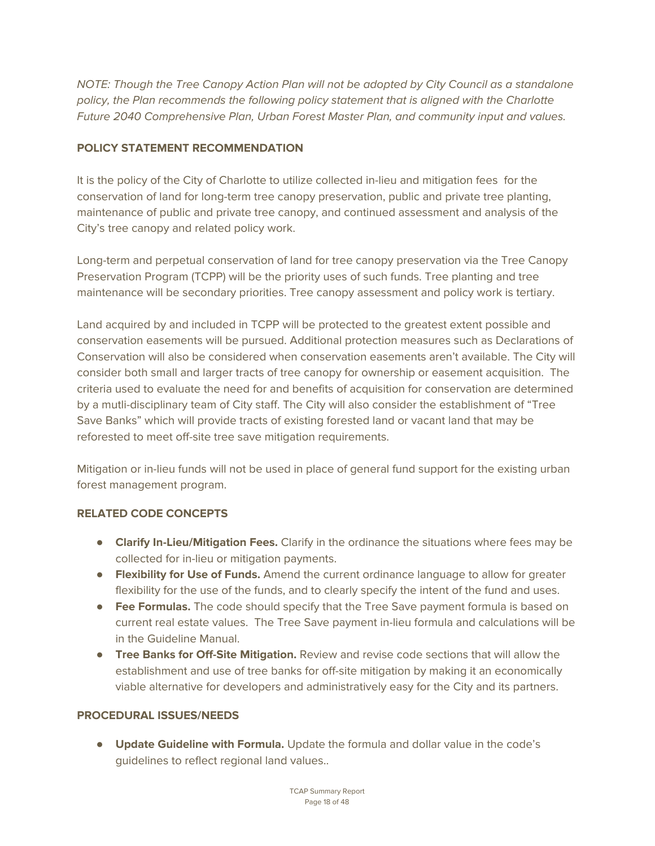NOTE: Though the Tree Canopy Action Plan will not be adopted by City Council as a standalone policy, the Plan recommends the following policy statement that is aligned with the Charlotte Future 2040 Comprehensive Plan, Urban Forest Master Plan, and community input and values.

#### **POLICY STATEMENT RECOMMENDATION**

It is the policy of the City of Charlotte to utilize collected in-lieu and mitigation fees for the conservation of land for long-term tree canopy preservation, public and private tree planting, maintenance of public and private tree canopy, and continued assessment and analysis of the City's tree canopy and related policy work.

Long-term and perpetual conservation of land for tree canopy preservation via the Tree Canopy Preservation Program (TCPP) will be the priority uses of such funds. Tree planting and tree maintenance will be secondary priorities. Tree canopy assessment and policy work is tertiary.

Land acquired by and included in TCPP will be protected to the greatest extent possible and conservation easements will be pursued. Additional protection measures such as Declarations of Conservation will also be considered when conservation easements aren't available. The City will consider both small and larger tracts of tree canopy for ownership or easement acquisition. The criteria used to evaluate the need for and benefits of acquisition for conservation are determined by a mutli-disciplinary team of City staff. The City will also consider the establishment of "Tree Save Banks" which will provide tracts of existing forested land or vacant land that may be reforested to meet off-site tree save mitigation requirements.

Mitigation or in-lieu funds will not be used in place of general fund support for the existing urban forest management program.

#### **RELATED CODE CONCEPTS**

- **Clarify In-Lieu/Mitigation Fees.** Clarify in the ordinance the situations where fees may be collected for in-lieu or mitigation payments.
- **Flexibility for Use of Funds.** Amend the current ordinance language to allow for greater flexibility for the use of the funds, and to clearly specify the intent of the fund and uses.
- **Fee Formulas.** The code should specify that the Tree Save payment formula is based on current real estate values. The Tree Save payment in-lieu formula and calculations will be in the Guideline Manual.
- **Tree Banks for Off-Site Mitigation.** Review and revise code sections that will allow the establishment and use of tree banks for off-site mitigation by making it an economically viable alternative for developers and administratively easy for the City and its partners.

#### **PROCEDURAL ISSUES/NEEDS**

**● Update Guideline with Formula.** Update the formula and dollar value in the code's guidelines to reflect regional land values..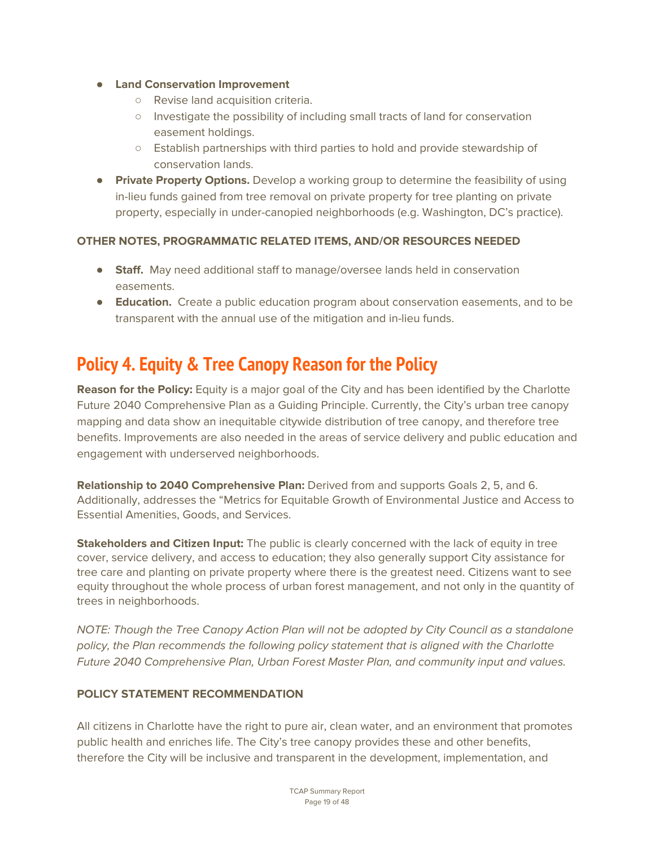- **● Land Conservation Improvement**
	- Revise land acquisition criteria.
	- Investigate the possibility of including small tracts of land for conservation easement holdings.
	- Establish partnerships with third parties to hold and provide stewardship of conservation lands.
- **Private Property Options.** Develop a working group to determine the feasibility of using in-lieu funds gained from tree removal on private property for tree planting on private property, especially in under-canopied neighborhoods (e.g. Washington, DC's practice).

#### **OTHER NOTES, PROGRAMMATIC RELATED ITEMS, AND/OR RESOURCES NEEDED**

- **Staff.** May need additional staff to manage/oversee lands held in conservation easements.
- **Education.** Create a public education program about conservation easements, and to be transparent with the annual use of the mitigation and in-lieu funds.

## **Policy 4. Equity & Tree Canopy Reason for the Policy**

**Reason for the Policy:** Equity is a major goal of the City and has been identified by the Charlotte Future 2040 Comprehensive Plan as a Guiding Principle. Currently, the City's urban tree canopy mapping and data show an inequitable citywide distribution of tree canopy, and therefore tree benefits. Improvements are also needed in the areas of service delivery and public education and engagement with underserved neighborhoods.

**Relationship to 2040 Comprehensive Plan:** Derived from and supports Goals 2, 5, and 6. Additionally, addresses the "Metrics for Equitable Growth of Environmental Justice and Access to Essential Amenities, Goods, and Services.

**Stakeholders and Citizen Input:** The public is clearly concerned with the lack of equity in tree cover, service delivery, and access to education; they also generally support City assistance for tree care and planting on private property where there is the greatest need. Citizens want to see equity throughout the whole process of urban forest management, and not only in the quantity of trees in neighborhoods.

NOTE: Though the Tree Canopy Action Plan will not be adopted by City Council as a standalone policy, the Plan recommends the following policy statement that is aligned with the Charlotte Future 2040 Comprehensive Plan, Urban Forest Master Plan, and community input and values.

#### **POLICY STATEMENT RECOMMENDATION**

All citizens in Charlotte have the right to pure air, clean water, and an environment that promotes public health and enriches life. The City's tree canopy provides these and other benefits, therefore the City will be inclusive and transparent in the development, implementation, and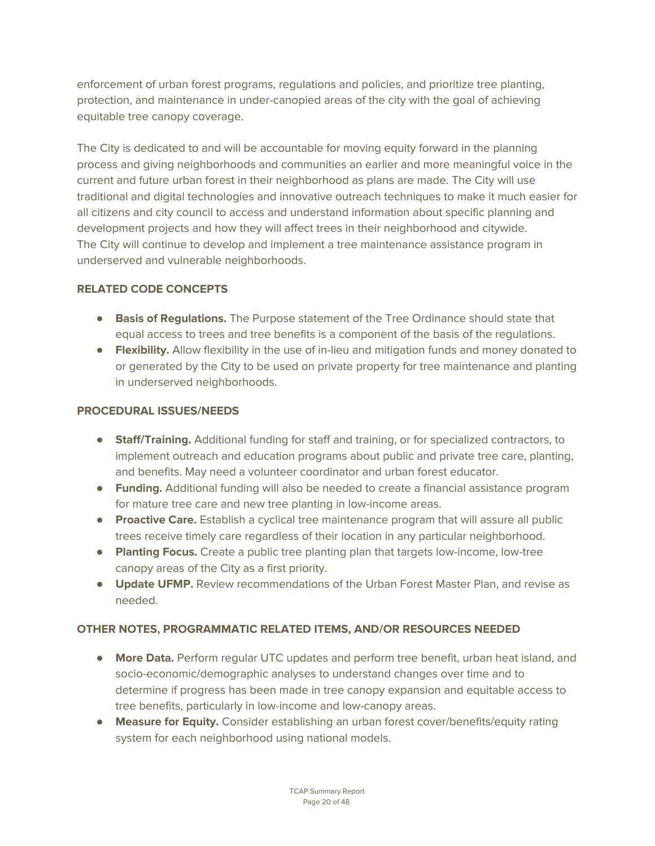enforcement of urban forest programs, regulations and policies, and prioritize tree planting, protection, and maintenance in under-canopied areas of the city with the goal of achieving equitable tree canopy coverage.

The City is dedicated to and will be accountable for moving equity forward in the planning process and giving neighborhoods and communities an earlier and more meaningful voice in the current and future urban forest in their neighborhood as plans are made. The City will use traditional and digital technologies and innovative outreach techniques to make it much easier for all citizens and city council to access and understand information about specific planning and development projects and how they will affect trees in their neighborhood and citywide. The City will continue to develop and implement a tree maintenance assistance program in underserved and vulnerable neighborhoods.

#### **RELATED CODE CONCEPTS**

- **Basis of Regulations.** The Purpose statement of the Tree Ordinance should state that equal access to trees and tree benefits is a component of the basis of the regulations.
- **Flexibility.** Allow flexibility in the use of in-lieu and mitigation funds and money donated to or generated by the City to be used on private property for tree maintenance and planting in underserved neighborhoods.

#### **PROCEDURAL ISSUES/NEEDS**

- **Staff/Training.** Additional funding for staff and training, or for specialized contractors, to implement outreach and education programs about public and private tree care, planting, and benefits. May need a volunteer coordinator and urban forest educator.
- **Funding.** Additional funding will also be needed to create a financial assistance program for mature tree care and new tree planting in low-income areas.
- **Proactive Care.** Establish a cyclical tree maintenance program that will assure all public trees receive timely care regardless of their location in any particular neighborhood.
- **Planting Focus.** Create a public tree planting plan that targets low-income, low-tree canopy areas of the City as a first priority.
- **Update UFMP.** Review recommendations of the Urban Forest Master Plan, and revise as needed.

#### **OTHER NOTES, PROGRAMMATIC RELATED ITEMS, AND/OR RESOURCES NEEDED**

- **More Data.** Perform regular UTC updates and perform tree benefit, urban heat island, and socio-economic/demographic analyses to understand changes over time and to determine if progress has been made in tree canopy expansion and equitable access to tree benefits, particularly in low-income and low-canopy areas.
- **Measure for Equity.** Consider establishing an urban forest cover/benefits/equity rating system for each neighborhood using national models.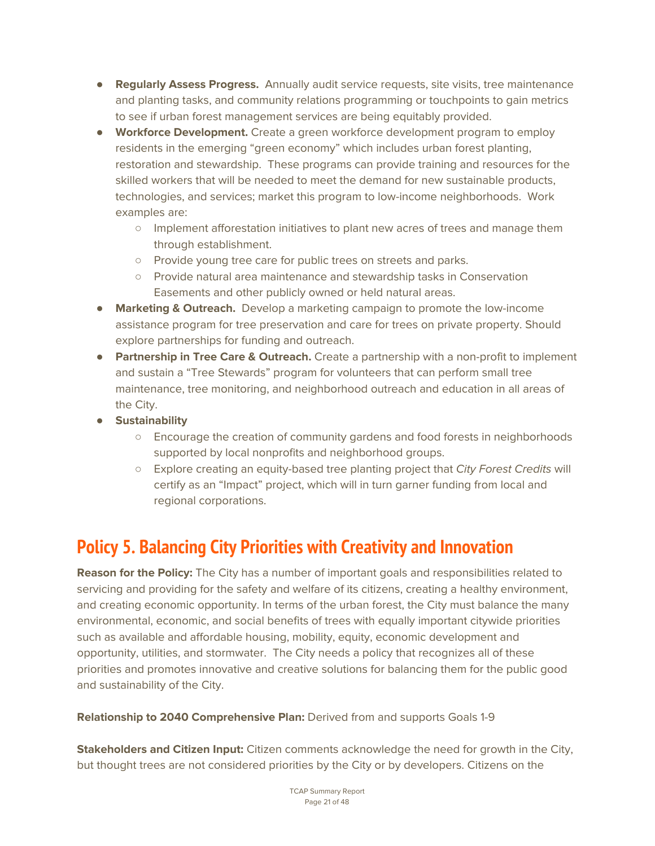- **Regularly Assess Progress.** Annually audit service requests, site visits, tree maintenance and planting tasks, and community relations programming or touchpoints to gain metrics to see if urban forest management services are being equitably provided.
- **Workforce Development.** Create a green workforce development program to employ residents in the emerging "green economy" which includes urban forest planting, restoration and stewardship. These programs can provide training and resources for the skilled workers that will be needed to meet the demand for new sustainable products, technologies, and services; market this program to low-income neighborhoods. Work examples are:
	- Implement afforestation initiatives to plant new acres of trees and manage them through establishment.
	- Provide young tree care for public trees on streets and parks.
	- Provide natural area maintenance and stewardship tasks in Conservation Easements and other publicly owned or held natural areas.
- **Marketing & Outreach.** Develop a marketing campaign to promote the low-income assistance program for tree preservation and care for trees on private property. Should explore partnerships for funding and outreach.
- **Partnership in Tree Care & Outreach.** Create a partnership with a non-profit to implement and sustain a "Tree Stewards" program for volunteers that can perform small tree maintenance, tree monitoring, and neighborhood outreach and education in all areas of the City.
- **● Sustainability**
	- Encourage the creation of community gardens and food forests in neighborhoods supported by local nonprofits and neighborhood groups.
	- Explore creating an equity-based tree planting project that City Forest Credits will certify as an "Impact" project, which will in turn garner funding from local and regional corporations.

# **Policy 5. Balancing City Priorities with Creativity and Innovation**

**Reason for the Policy:** The City has a number of important goals and responsibilities related to servicing and providing for the safety and welfare of its citizens, creating a healthy environment, and creating economic opportunity. In terms of the urban forest, the City must balance the many environmental, economic, and social benefits of trees with equally important citywide priorities such as available and affordable housing, mobility, equity, economic development and opportunity, utilities, and stormwater. The City needs a policy that recognizes all of these priorities and promotes innovative and creative solutions for balancing them for the public good and sustainability of the City.

**Relationship to 2040 Comprehensive Plan:** Derived from and supports Goals 1-9

**Stakeholders and Citizen Input:** Citizen comments acknowledge the need for growth in the City, but thought trees are not considered priorities by the City or by developers. Citizens on the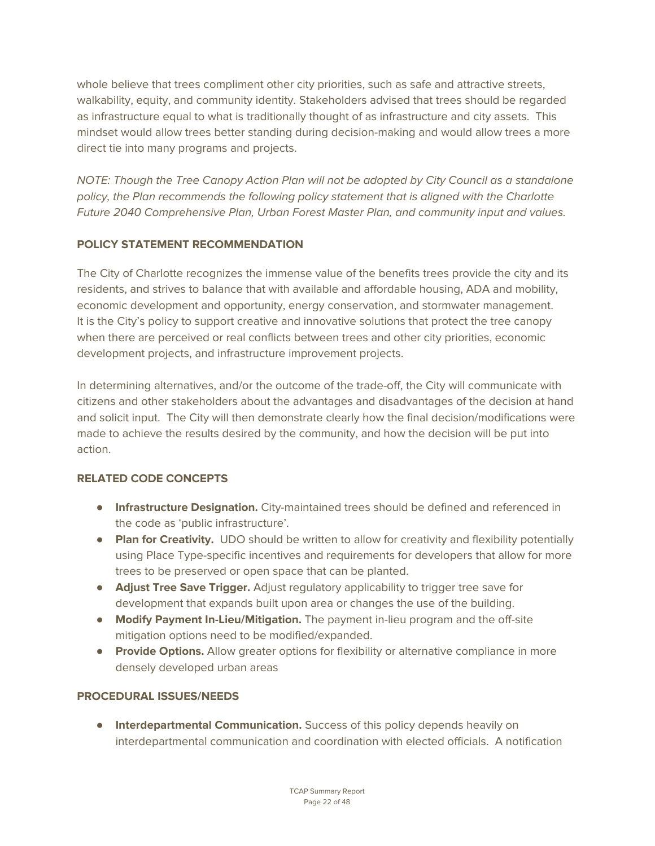whole believe that trees compliment other city priorities, such as safe and attractive streets, walkability, equity, and community identity. Stakeholders advised that trees should be regarded as infrastructure equal to what is traditionally thought of as infrastructure and city assets. This mindset would allow trees better standing during decision-making and would allow trees a more direct tie into many programs and projects.

NOTE: Though the Tree Canopy Action Plan will not be adopted by City Council as a standalone policy, the Plan recommends the following policy statement that is aligned with the Charlotte Future 2040 Comprehensive Plan, Urban Forest Master Plan, and community input and values.

#### **POLICY STATEMENT RECOMMENDATION**

The City of Charlotte recognizes the immense value of the benefits trees provide the city and its residents, and strives to balance that with available and affordable housing, ADA and mobility, economic development and opportunity, energy conservation, and stormwater management. It is the City's policy to support creative and innovative solutions that protect the tree canopy when there are perceived or real conflicts between trees and other city priorities, economic development projects, and infrastructure improvement projects.

In determining alternatives, and/or the outcome of the trade-off, the City will communicate with citizens and other stakeholders about the advantages and disadvantages of the decision at hand and solicit input. The City will then demonstrate clearly how the final decision/modifications were made to achieve the results desired by the community, and how the decision will be put into action.

#### **RELATED CODE CONCEPTS**

- **Infrastructure Designation.** City-maintained trees should be defined and referenced in the code as 'public infrastructure'.
- **Plan for Creativity.** UDO should be written to allow for creativity and flexibility potentially using Place Type-specific incentives and requirements for developers that allow for more trees to be preserved or open space that can be planted.
- **Adjust Tree Save Trigger.** Adjust regulatory applicability to trigger tree save for development that expands built upon area or changes the use of the building.
- **Modify Payment In-Lieu/Mitigation.** The payment in-lieu program and the off-site mitigation options need to be modified/expanded.
- **Provide Options.** Allow greater options for flexibility or alternative compliance in more densely developed urban areas

#### **PROCEDURAL ISSUES/NEEDS**

● **Interdepartmental Communication.** Success of this policy depends heavily on interdepartmental communication and coordination with elected officials. A notification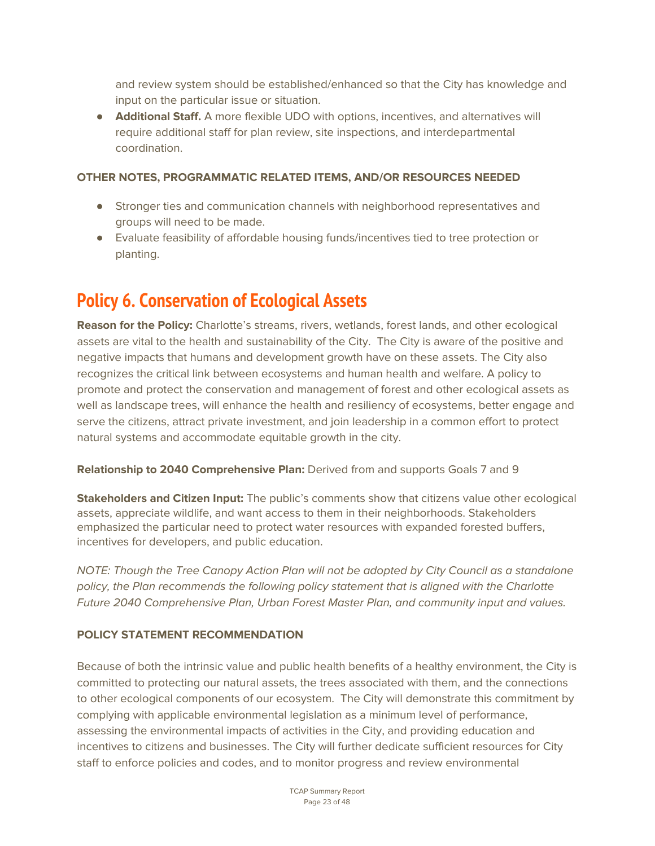and review system should be established/enhanced so that the City has knowledge and input on the particular issue or situation.

● **Additional Staff.** A more flexible UDO with options, incentives, and alternatives will require additional staff for plan review, site inspections, and interdepartmental coordination.

#### **OTHER NOTES, PROGRAMMATIC RELATED ITEMS, AND/OR RESOURCES NEEDED**

- Stronger ties and communication channels with neighborhood representatives and groups will need to be made.
- Evaluate feasibility of affordable housing funds/incentives tied to tree protection or planting.

# **Policy 6. Conservation of Ecological Assets**

**Reason for the Policy:** Charlotte's streams, rivers, wetlands, forest lands, and other ecological assets are vital to the health and sustainability of the City. The City is aware of the positive and negative impacts that humans and development growth have on these assets. The City also recognizes the critical link between ecosystems and human health and welfare. A policy to promote and protect the conservation and management of forest and other ecological assets as well as landscape trees, will enhance the health and resiliency of ecosystems, better engage and serve the citizens, attract private investment, and join leadership in a common effort to protect natural systems and accommodate equitable growth in the city.

#### **Relationship to 2040 Comprehensive Plan:** Derived from and supports Goals 7 and 9

**Stakeholders and Citizen Input:** The public's comments show that citizens value other ecological assets, appreciate wildlife, and want access to them in their neighborhoods. Stakeholders emphasized the particular need to protect water resources with expanded forested buffers, incentives for developers, and public education.

NOTE: Though the Tree Canopy Action Plan will not be adopted by City Council as a standalone policy, the Plan recommends the following policy statement that is aligned with the Charlotte Future 2040 Comprehensive Plan, Urban Forest Master Plan, and community input and values.

#### **POLICY STATEMENT RECOMMENDATION**

Because of both the intrinsic value and public health benefits of a healthy environment, the City is committed to protecting our natural assets, the trees associated with them, and the connections to other ecological components of our ecosystem. The City will demonstrate this commitment by complying with applicable environmental legislation as a minimum level of performance, assessing the environmental impacts of activities in the City, and providing education and incentives to citizens and businesses. The City will further dedicate sufficient resources for City staff to enforce policies and codes, and to monitor progress and review environmental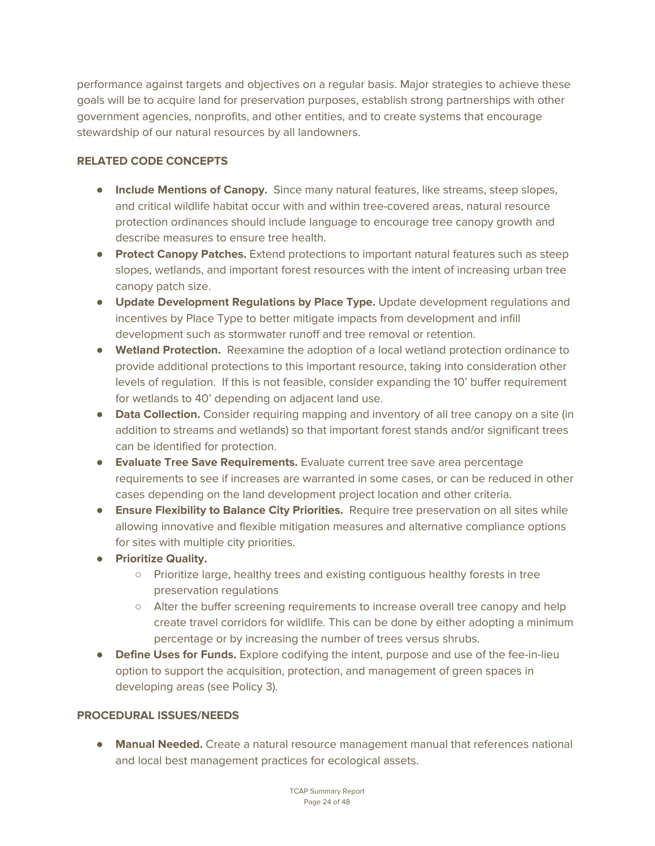performance against targets and objectives on a regular basis. Major strategies to achieve these goals will be to acquire land for preservation purposes, establish strong partnerships with other government agencies, nonprofits, and other entities, and to create systems that encourage stewardship of our natural resources by all landowners.

#### **RELATED CODE CONCEPTS**

- **Include Mentions of Canopy.** Since many natural features, like streams, steep slopes, and critical wildlife habitat occur with and within tree-covered areas, natural resource protection ordinances should include language to encourage tree canopy growth and describe measures to ensure tree health.
- **● Protect Canopy Patches.** Extend protections to important natural features such as steep slopes, wetlands, and important forest resources with the intent of increasing urban tree canopy patch size.
- **● Update Development Regulations by Place Type.** Update development regulations and incentives by Place Type to better mitigate impacts from development and infill development such as stormwater runoff and tree removal or retention.
- **Wetland Protection.** Reexamine the adoption of a local wetland protection ordinance to provide additional protections to this important resource, taking into consideration other levels of regulation. If this is not feasible, consider expanding the 10' buffer requirement for wetlands to 40' depending on adjacent land use.
- **Data Collection.** Consider requiring mapping and inventory of all tree canopy on a site (in addition to streams and wetlands) so that important forest stands and/or significant trees can be identified for protection.
- **Evaluate Tree Save Requirements.** Evaluate current tree save area percentage requirements to see if increases are warranted in some cases, or can be reduced in other cases depending on the land development project location and other criteria.
- **● Ensure Flexibility to Balance City Priorities.** Require tree preservation on all sites while allowing innovative and flexible mitigation measures and alternative compliance options for sites with multiple city priorities.
- **● Prioritize Quality.**
	- **○** Prioritize large, healthy trees and existing contiguous healthy forests in tree preservation regulations
	- Alter the buffer screening requirements to increase overall tree canopy and help create travel corridors for wildlife. This can be done by either adopting a minimum percentage or by increasing the number of trees versus shrubs.
- **● Define Uses for Funds.** Explore codifying the intent, purpose and use of the fee-in-lieu option to support the acquisition, protection, and management of green spaces in developing areas (see Policy 3).

#### **PROCEDURAL ISSUES/NEEDS**

● **Manual Needed.** Create a natural resource management manual that references national and local best management practices for ecological assets.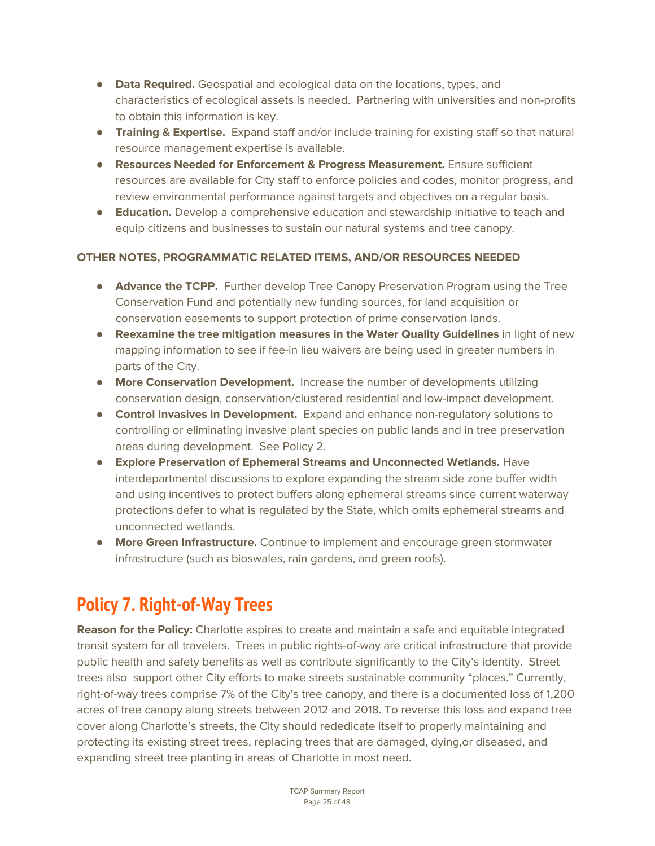- **Data Required.** Geospatial and ecological data on the locations, types, and characteristics of ecological assets is needed. Partnering with universities and non-profits to obtain this information is key.
- **Training & Expertise.** Expand staff and/or include training for existing staff so that natural resource management expertise is available.
- **Resources Needed for Enforcement & Progress Measurement.** Ensure sufficient resources are available for City staff to enforce policies and codes, monitor progress, and review environmental performance against targets and objectives on a regular basis.
- **Education.** Develop a comprehensive education and stewardship initiative to teach and equip citizens and businesses to sustain our natural systems and tree canopy.

#### **OTHER NOTES, PROGRAMMATIC RELATED ITEMS, AND/OR RESOURCES NEEDED**

- **Advance the TCPP.** Further develop Tree Canopy Preservation Program using the Tree Conservation Fund and potentially new funding sources, for land acquisition or conservation easements to support protection of prime conservation lands.
- **Reexamine the tree mitigation measures in the Water Quality Guidelines** in light of new mapping information to see if fee-in lieu waivers are being used in greater numbers in parts of the City.
- **● More Conservation Development.** Increase the number of developments utilizing conservation design, conservation/clustered residential and low-impact development.
- **● Control Invasives in Development.** Expand and enhance non-regulatory solutions to controlling or eliminating invasive plant species on public lands and in tree preservation areas during development. See Policy 2.
- **Explore Preservation of Ephemeral Streams and Unconnected Wetlands.** Have interdepartmental discussions to explore expanding the stream side zone buffer width and using incentives to protect buffers along ephemeral streams since current waterway protections defer to what is regulated by the State, which omits ephemeral streams and unconnected wetlands.
- **● More Green Infrastructure.** Continue to implement and encourage green stormwater infrastructure (such as bioswales, rain gardens, and green roofs).

# **Policy 7. Right-of-Way Trees**

**Reason for the Policy:** Charlotte aspires to create and maintain a safe and equitable integrated transit system for all travelers. Trees in public rights-of-way are critical infrastructure that provide public health and safety benefits as well as contribute significantly to the City's identity. Street trees also support other City efforts to make streets sustainable community "places." Currently, right-of-way trees comprise 7% of the City's tree canopy, and there is a documented loss of 1,200 acres of tree canopy along streets between 2012 and 2018. To reverse this loss and expand tree cover along Charlotte's streets, the City should rededicate itself to properly maintaining and protecting its existing street trees, replacing trees that are damaged, dying,or diseased, and expanding street tree planting in areas of Charlotte in most need.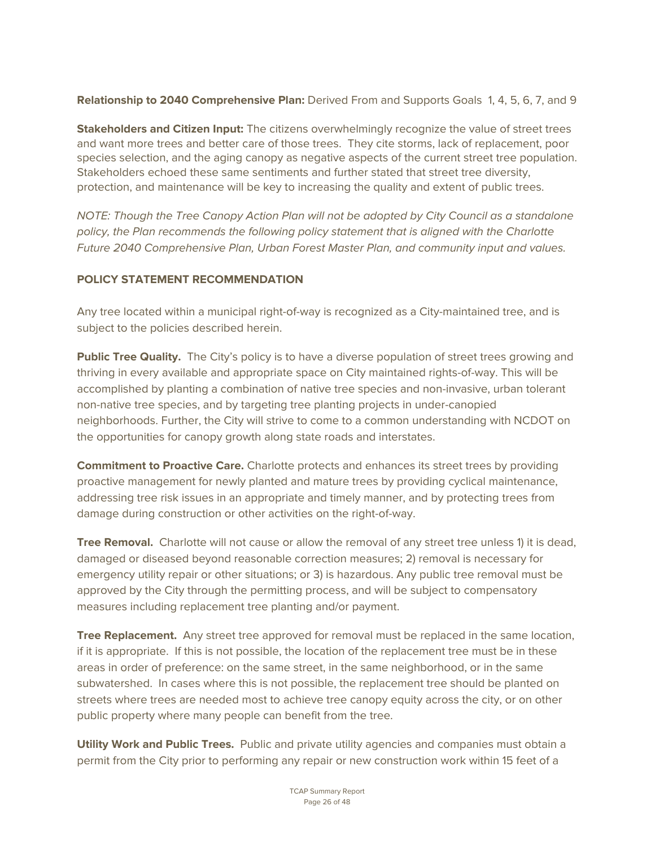**Relationship to 2040 Comprehensive Plan:** Derived From and Supports Goals 1, 4, 5, 6, 7, and 9

**Stakeholders and Citizen Input:** The citizens overwhelmingly recognize the value of street trees and want more trees and better care of those trees. They cite storms, lack of replacement, poor species selection, and the aging canopy as negative aspects of the current street tree population. Stakeholders echoed these same sentiments and further stated that street tree diversity, protection, and maintenance will be key to increasing the quality and extent of public trees.

NOTE: Though the Tree Canopy Action Plan will not be adopted by City Council as a standalone policy, the Plan recommends the following policy statement that is aligned with the Charlotte Future 2040 Comprehensive Plan, Urban Forest Master Plan, and community input and values.

#### **POLICY STATEMENT RECOMMENDATION**

Any tree located within a municipal right-of-way is recognized as a City-maintained tree, and is subject to the policies described herein.

**Public Tree Quality.** The City's policy is to have a diverse population of street trees growing and thriving in every available and appropriate space on City maintained rights-of-way. This will be accomplished by planting a combination of native tree species and non-invasive, urban tolerant non-native tree species, and by targeting tree planting projects in under-canopied neighborhoods. Further, the City will strive to come to a common understanding with NCDOT on the opportunities for canopy growth along state roads and interstates.

**Commitment to Proactive Care.** Charlotte protects and enhances its street trees by providing proactive management for newly planted and mature trees by providing cyclical maintenance, addressing tree risk issues in an appropriate and timely manner, and by protecting trees from damage during construction or other activities on the right-of-way.

**Tree Removal.** Charlotte will not cause or allow the removal of any street tree unless 1) it is dead, damaged or diseased beyond reasonable correction measures; 2) removal is necessary for emergency utility repair or other situations; or 3) is hazardous. Any public tree removal must be approved by the City through the permitting process, and will be subject to compensatory measures including replacement tree planting and/or payment.

**Tree Replacement.** Any street tree approved for removal must be replaced in the same location, if it is appropriate. If this is not possible, the location of the replacement tree must be in these areas in order of preference: on the same street, in the same neighborhood, or in the same subwatershed. In cases where this is not possible, the replacement tree should be planted on streets where trees are needed most to achieve tree canopy equity across the city, or on other public property where many people can benefit from the tree.

**Utility Work and Public Trees.** Public and private utility agencies and companies must obtain a permit from the City prior to performing any repair or new construction work within 15 feet of a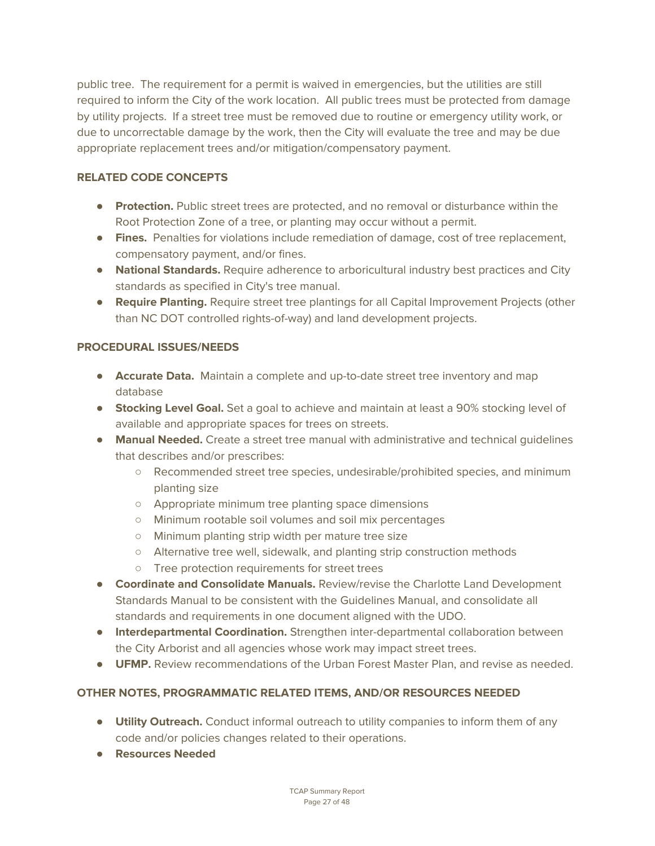public tree. The requirement for a permit is waived in emergencies, but the utilities are still required to inform the City of the work location. All public trees must be protected from damage by utility projects. If a street tree must be removed due to routine or emergency utility work, or due to uncorrectable damage by the work, then the City will evaluate the tree and may be due appropriate replacement trees and/or mitigation/compensatory payment.

#### **RELATED CODE CONCEPTS**

- **Protection.** Public street trees are protected, and no removal or disturbance within the Root Protection Zone of a tree, or planting may occur without a permit.
- **Fines.** Penalties for violations include remediation of damage, cost of tree replacement, compensatory payment, and/or fines.
- **National Standards.** Require adherence to arboricultural industry best practices and City standards as specified in City's tree manual.
- **Require Planting.** Require street tree plantings for all Capital Improvement Projects (other than NC DOT controlled rights-of-way) and land development projects.

#### **PROCEDURAL ISSUES/NEEDS**

- **Accurate Data.** Maintain a complete and up-to-date street tree inventory and map database
- **Stocking Level Goal.** Set a goal to achieve and maintain at least a 90% stocking level of available and appropriate spaces for trees on streets.
- **Manual Needed.** Create a street tree manual with administrative and technical guidelines that describes and/or prescribes:
	- Recommended street tree species, undesirable/prohibited species, and minimum planting size
	- Appropriate minimum tree planting space dimensions
	- Minimum rootable soil volumes and soil mix percentages
	- Minimum planting strip width per mature tree size
	- Alternative tree well, sidewalk, and planting strip construction methods
	- Tree protection requirements for street trees
- **Coordinate and Consolidate Manuals.** Review/revise the Charlotte Land Development Standards Manual to be consistent with the Guidelines Manual, and consolidate all standards and requirements in one document aligned with the UDO.
- **Interdepartmental Coordination.** Strengthen inter-departmental collaboration between the City Arborist and all agencies whose work may impact street trees.
- **UFMP.** Review recommendations of the Urban Forest Master Plan, and revise as needed.

#### **OTHER NOTES, PROGRAMMATIC RELATED ITEMS, AND/OR RESOURCES NEEDED**

- **Utility Outreach.** Conduct informal outreach to utility companies to inform them of any code and/or policies changes related to their operations.
- **Resources Needed**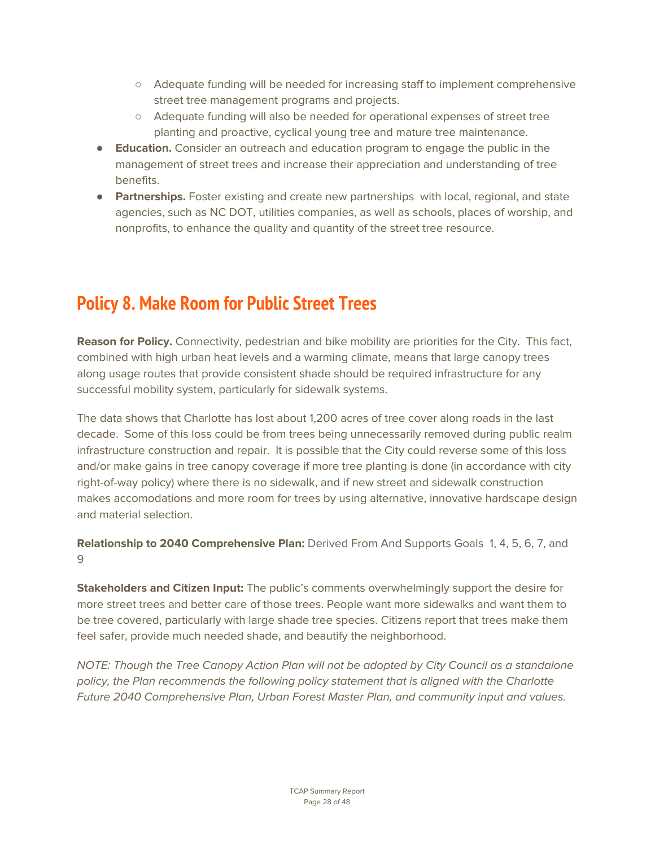- Adequate funding will be needed for increasing staff to implement comprehensive street tree management programs and projects.
- Adequate funding will also be needed for operational expenses of street tree planting and proactive, cyclical young tree and mature tree maintenance.
- **Education.** Consider an outreach and education program to engage the public in the management of street trees and increase their appreciation and understanding of tree benefits.
- **Partnerships.** Foster existing and create new partnerships with local, regional, and state agencies, such as NC DOT, utilities companies, as well as schools, places of worship, and nonprofits, to enhance the quality and quantity of the street tree resource.

## **Policy 8. Make Room for Public Street Trees**

**Reason for Policy.** Connectivity, pedestrian and bike mobility are priorities for the City. This fact, combined with high urban heat levels and a warming climate, means that large canopy trees along usage routes that provide consistent shade should be required infrastructure for any successful mobility system, particularly for sidewalk systems.

The data shows that Charlotte has lost about 1,200 acres of tree cover along roads in the last decade. Some of this loss could be from trees being unnecessarily removed during public realm infrastructure construction and repair. It is possible that the City could reverse some of this loss and/or make gains in tree canopy coverage if more tree planting is done (in accordance with city right-of-way policy) where there is no sidewalk, and if new street and sidewalk construction makes accomodations and more room for trees by using alternative, innovative hardscape design and material selection.

**Relationship to 2040 Comprehensive Plan:** Derived From And Supports Goals 1, 4, 5, 6, 7, and 9

**Stakeholders and Citizen Input:** The public's comments overwhelmingly support the desire for more street trees and better care of those trees. People want more sidewalks and want them to be tree covered, particularly with large shade tree species. Citizens report that trees make them feel safer, provide much needed shade, and beautify the neighborhood.

NOTE: Though the Tree Canopy Action Plan will not be adopted by City Council as a standalone policy, the Plan recommends the following policy statement that is aligned with the Charlotte Future 2040 Comprehensive Plan, Urban Forest Master Plan, and community input and values.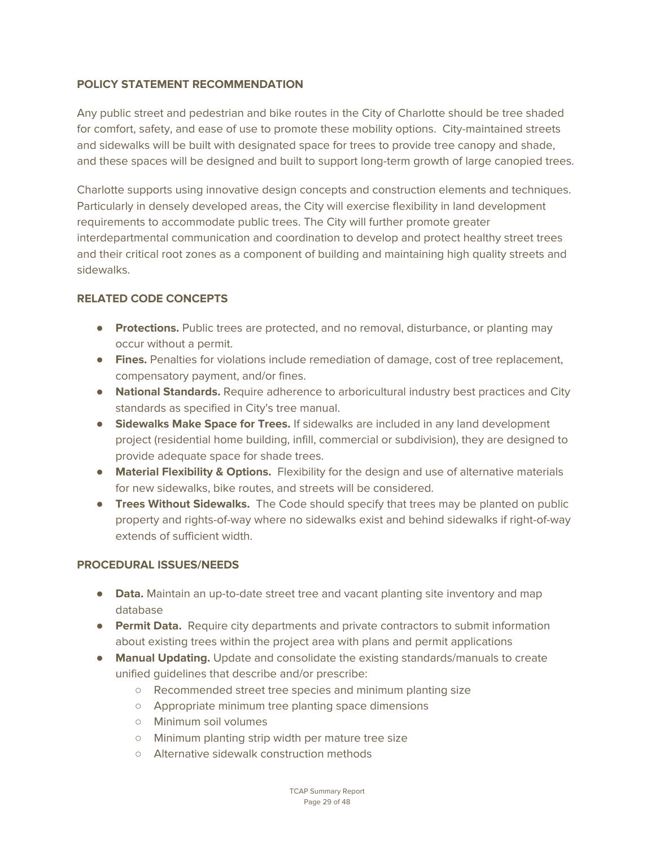#### **POLICY STATEMENT RECOMMENDATION**

Any public street and pedestrian and bike routes in the City of Charlotte should be tree shaded for comfort, safety, and ease of use to promote these mobility options. City-maintained streets and sidewalks will be built with designated space for trees to provide tree canopy and shade, and these spaces will be designed and built to support long-term growth of large canopied trees.

Charlotte supports using innovative design concepts and construction elements and techniques. Particularly in densely developed areas, the City will exercise flexibility in land development requirements to accommodate public trees. The City will further promote greater interdepartmental communication and coordination to develop and protect healthy street trees and their critical root zones as a component of building and maintaining high quality streets and sidewalks.

#### **RELATED CODE CONCEPTS**

- **Protections.** Public trees are protected, and no removal, disturbance, or planting may occur without a permit.
- **Fines.** Penalties for violations include remediation of damage, cost of tree replacement, compensatory payment, and/or fines.
- **National Standards.** Require adherence to arboricultural industry best practices and City standards as specified in City's tree manual.
- **Sidewalks Make Space for Trees.** If sidewalks are included in any land development project (residential home building, infill, commercial or subdivision), they are designed to provide adequate space for shade trees.
- **Material Flexibility & Options.** Flexibility for the design and use of alternative materials for new sidewalks, bike routes, and streets will be considered.
- **Trees Without Sidewalks.** The Code should specify that trees may be planted on public property and rights-of-way where no sidewalks exist and behind sidewalks if right-of-way extends of sufficient width.

#### **PROCEDURAL ISSUES/NEEDS**

- **Data.** Maintain an up-to-date street tree and vacant planting site inventory and map database
- **Permit Data.** Require city departments and private contractors to submit information about existing trees within the project area with plans and permit applications
- **Manual Updating.** Update and consolidate the existing standards/manuals to create unified guidelines that describe and/or prescribe:
	- Recommended street tree species and minimum planting size
	- Appropriate minimum tree planting space dimensions
	- Minimum soil volumes
	- Minimum planting strip width per mature tree size
	- Alternative sidewalk construction methods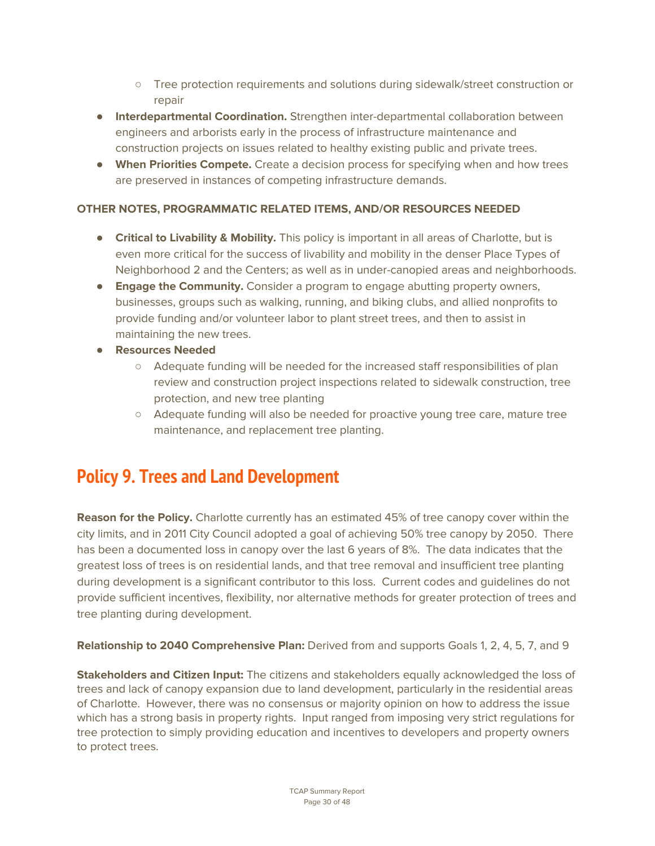- Tree protection requirements and solutions during sidewalk/street construction or repair
- **Interdepartmental Coordination.** Strengthen inter-departmental collaboration between engineers and arborists early in the process of infrastructure maintenance and construction projects on issues related to healthy existing public and private trees.
- **When Priorities Compete.** Create a decision process for specifying when and how trees are preserved in instances of competing infrastructure demands.

#### **OTHER NOTES, PROGRAMMATIC RELATED ITEMS, AND/OR RESOURCES NEEDED**

- **Critical to Livability & Mobility.** This policy is important in all areas of Charlotte, but is even more critical for the success of livability and mobility in the denser Place Types of Neighborhood 2 and the Centers; as well as in under-canopied areas and neighborhoods.
- **Engage the Community.** Consider a program to engage abutting property owners, businesses, groups such as walking, running, and biking clubs, and allied nonprofits to provide funding and/or volunteer labor to plant street trees, and then to assist in maintaining the new trees.
- **● Resources Needed**
	- Adequate funding will be needed for the increased staff responsibilities of plan review and construction project inspections related to sidewalk construction, tree protection, and new tree planting
	- Adequate funding will also be needed for proactive young tree care, mature tree maintenance, and replacement tree planting.

## <span id="page-29-0"></span>**Policy 9. Trees and Land Development**

**Reason for the Policy.** Charlotte currently has an estimated 45% of tree canopy cover within the city limits, and in 2011 City Council adopted a goal of achieving 50% tree canopy by 2050. There has been a documented loss in canopy over the last 6 years of 8%. The data indicates that the greatest loss of trees is on residential lands, and that tree removal and insufficient tree planting during development is a significant contributor to this loss. Current codes and guidelines do not provide sufficient incentives, flexibility, nor alternative methods for greater protection of trees and tree planting during development.

#### **Relationship to 2040 Comprehensive Plan:** Derived from and supports Goals 1, 2, 4, 5, 7, and 9

**Stakeholders and Citizen Input:** The citizens and stakeholders equally acknowledged the loss of trees and lack of canopy expansion due to land development, particularly in the residential areas of Charlotte. However, there was no consensus or majority opinion on how to address the issue which has a strong basis in property rights. Input ranged from imposing very strict regulations for tree protection to simply providing education and incentives to developers and property owners to protect trees.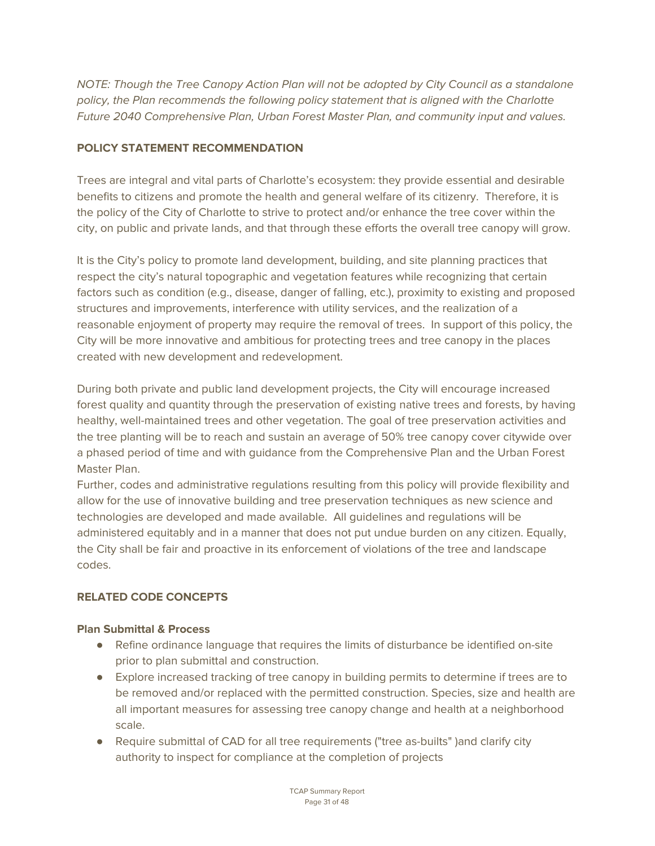NOTE: Though the Tree Canopy Action Plan will not be adopted by City Council as a standalone policy, the Plan recommends the following policy statement that is aligned with the Charlotte Future 2040 Comprehensive Plan, Urban Forest Master Plan, and community input and values.

#### **POLICY STATEMENT RECOMMENDATION**

Trees are integral and vital parts of Charlotte's ecosystem: they provide essential and desirable benefits to citizens and promote the health and general welfare of its citizenry. Therefore, it is the policy of the City of Charlotte to strive to protect and/or enhance the tree cover within the city, on public and private lands, and that through these efforts the overall tree canopy will grow.

It is the City's policy to promote land development, building, and site planning practices that respect the city's natural topographic and vegetation features while recognizing that certain factors such as condition (e.g., disease, danger of falling, etc.), proximity to existing and proposed structures and improvements, interference with utility services, and the realization of a reasonable enjoyment of property may require the removal of trees. In support of this policy, the City will be more innovative and ambitious for protecting trees and tree canopy in the places created with new development and redevelopment.

During both private and public land development projects, the City will encourage increased forest quality and quantity through the preservation of existing native trees and forests, by having healthy, well-maintained trees and other vegetation. The goal of tree preservation activities and the tree planting will be to reach and sustain an average of 50% tree canopy cover citywide over a phased period of time and with guidance from the Comprehensive Plan and the Urban Forest Master Plan.

Further, codes and administrative regulations resulting from this policy will provide flexibility and allow for the use of innovative building and tree preservation techniques as new science and technologies are developed and made available. All guidelines and regulations will be administered equitably and in a manner that does not put undue burden on any citizen. Equally, the City shall be fair and proactive in its enforcement of violations of the tree and landscape codes.

#### **RELATED CODE CONCEPTS**

#### **Plan Submittal & Process**

- Refine ordinance language that requires the limits of disturbance be identified on-site prior to plan submittal and construction.
- Explore increased tracking of tree canopy in building permits to determine if trees are to be removed and/or replaced with the permitted construction. Species, size and health are all important measures for assessing tree canopy change and health at a neighborhood scale.
- Require submittal of CAD for all tree requirements ("tree as-builts" )and clarify city authority to inspect for compliance at the completion of projects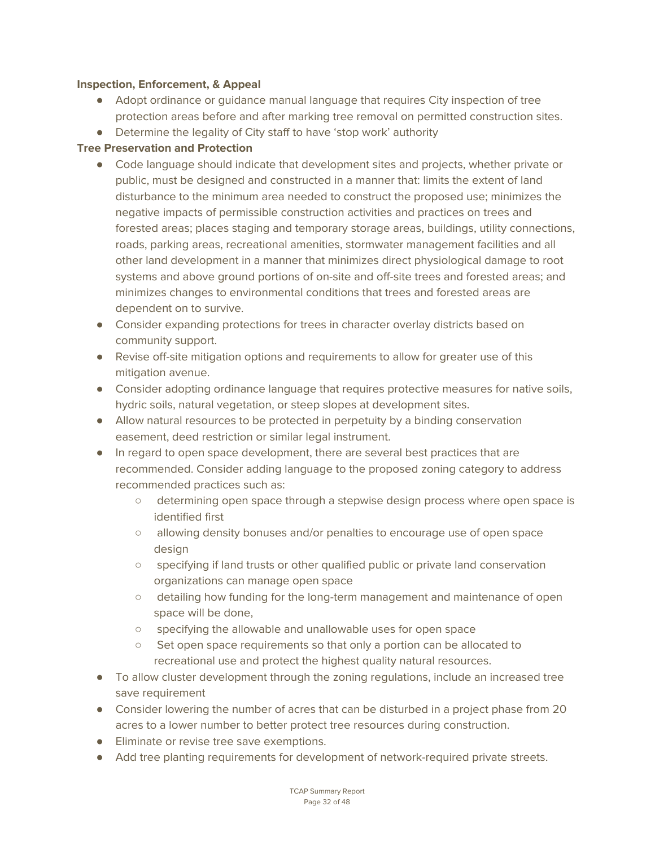#### **Inspection, Enforcement, & Appeal**

- Adopt ordinance or guidance manual language that requires City inspection of tree protection areas before and after marking tree removal on permitted construction sites.
- Determine the legality of City staff to have 'stop work' authority

#### **Tree Preservation and Protection**

- Code language should indicate that development sites and projects, whether private or public, must be designed and constructed in a manner that: limits the extent of land disturbance to the minimum area needed to construct the proposed use; minimizes the negative impacts of permissible construction activities and practices on trees and forested areas; places staging and temporary storage areas, buildings, utility connections, roads, parking areas, recreational amenities, stormwater management facilities and all other land development in a manner that minimizes direct physiological damage to root systems and above ground portions of on-site and off-site trees and forested areas; and minimizes changes to environmental conditions that trees and forested areas are dependent on to survive.
- Consider expanding protections for trees in character overlay districts based on community support.
- Revise off-site mitigation options and requirements to allow for greater use of this mitigation avenue.
- Consider adopting ordinance language that requires protective measures for native soils, hydric soils, natural vegetation, or steep slopes at development sites.
- Allow natural resources to be protected in perpetuity by a binding conservation easement, deed restriction or similar legal instrument.
- In regard to open space development, there are several best practices that are recommended. Consider adding language to the proposed zoning category to address recommended practices such as:
	- determining open space through a stepwise design process where open space is identified first
	- allowing density bonuses and/or penalties to encourage use of open space design
	- specifying if land trusts or other qualified public or private land conservation organizations can manage open space
	- detailing how funding for the long-term management and maintenance of open space will be done,
	- specifying the allowable and unallowable uses for open space
	- Set open space requirements so that only a portion can be allocated to recreational use and protect the highest quality natural resources.
- To allow cluster development through the zoning regulations, include an increased tree save requirement
- Consider lowering the number of acres that can be disturbed in a project phase from 20 acres to a lower number to better protect tree resources during construction.
- Eliminate or revise tree save exemptions.
- Add tree planting requirements for development of network-required private streets.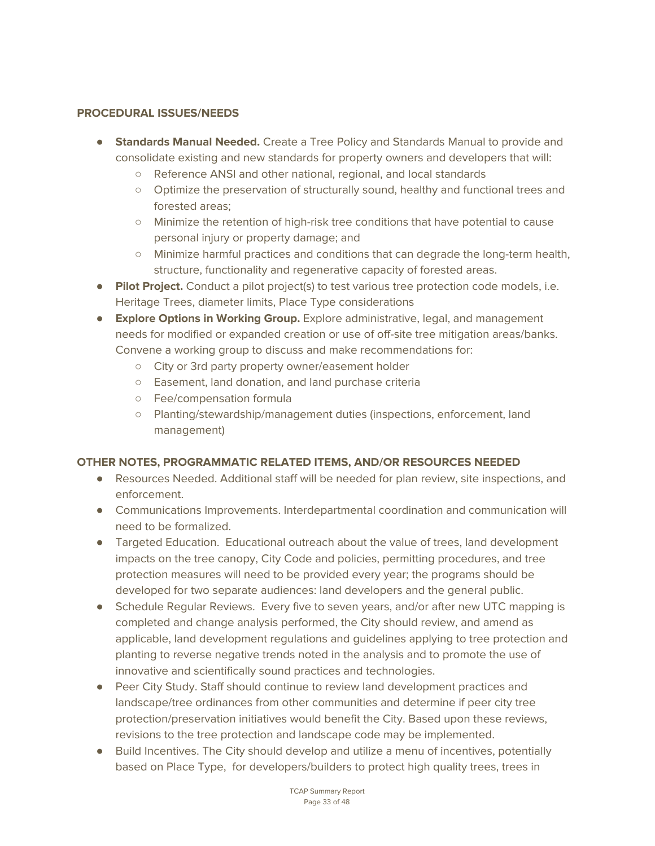#### **PROCEDURAL ISSUES/NEEDS**

- **Standards Manual Needed.** Create a Tree Policy and Standards Manual to provide and consolidate existing and new standards for property owners and developers that will:
	- Reference ANSI and other national, regional, and local standards
	- Optimize the preservation of structurally sound, healthy and functional trees and forested areas;
	- Minimize the retention of high-risk tree conditions that have potential to cause personal injury or property damage; and
	- Minimize harmful practices and conditions that can degrade the long-term health, structure, functionality and regenerative capacity of forested areas.
- **Pilot Project.** Conduct a pilot project(s) to test various tree protection code models, i.e. Heritage Trees, diameter limits, Place Type considerations
- **Explore Options in Working Group.** Explore administrative, legal, and management needs for modified or expanded creation or use of off-site tree mitigation areas/banks. Convene a working group to discuss and make recommendations for:
	- City or 3rd party property owner/easement holder
	- Easement, land donation, and land purchase criteria
	- Fee/compensation formula
	- Planting/stewardship/management duties (inspections, enforcement, land management)

#### **OTHER NOTES, PROGRAMMATIC RELATED ITEMS, AND/OR RESOURCES NEEDED**

- Resources Needed. Additional staff will be needed for plan review, site inspections, and enforcement.
- Communications Improvements. Interdepartmental coordination and communication will need to be formalized.
- Targeted Education. Educational outreach about the value of trees, land development impacts on the tree canopy, City Code and policies, permitting procedures, and tree protection measures will need to be provided every year; the programs should be developed for two separate audiences: land developers and the general public.
- Schedule Regular Reviews. Every five to seven years, and/or after new UTC mapping is completed and change analysis performed, the City should review, and amend as applicable, land development regulations and guidelines applying to tree protection and planting to reverse negative trends noted in the analysis and to promote the use of innovative and scientifically sound practices and technologies.
- Peer City Study. Staff should continue to review land development practices and landscape/tree ordinances from other communities and determine if peer city tree protection/preservation initiatives would benefit the City. Based upon these reviews, revisions to the tree protection and landscape code may be implemented.
- Build Incentives. The City should develop and utilize a menu of incentives, potentially based on Place Type, for developers/builders to protect high quality trees, trees in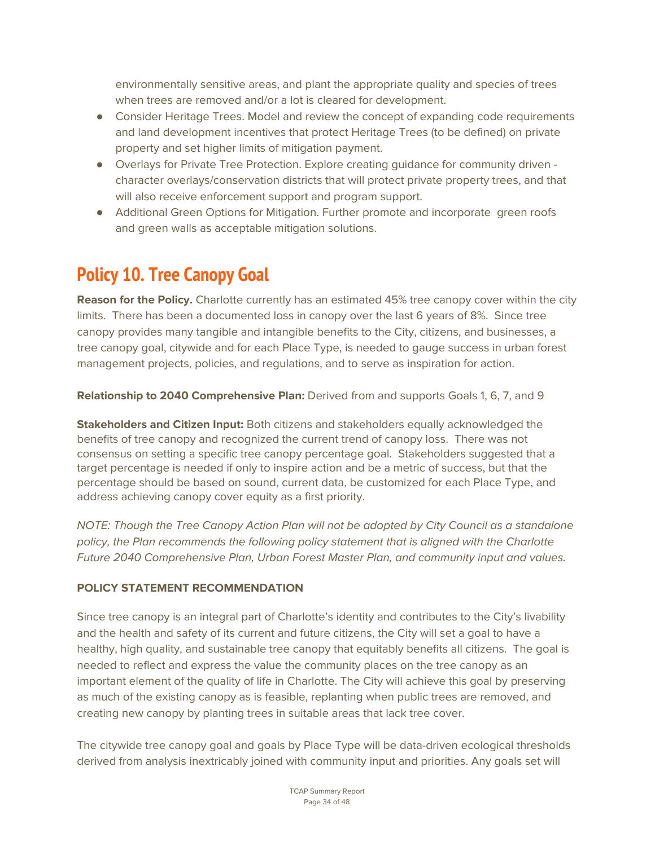environmentally sensitive areas, and plant the appropriate quality and species of trees when trees are removed and/or a lot is cleared for development.

- Consider Heritage Trees. Model and review the concept of expanding code requirements and land development incentives that protect Heritage Trees (to be defined) on private property and set higher limits of mitigation payment.
- Overlays for Private Tree Protection. Explore creating guidance for community driven character overlays/conservation districts that will protect private property trees, and that will also receive enforcement support and program support.
- Additional Green Options for Mitigation. Further promote and incorporate green roofs and green walls as acceptable mitigation solutions.

## <span id="page-33-0"></span>**Policy 10. Tree Canopy Goal**

**Reason for the Policy.** Charlotte currently has an estimated 45% tree canopy cover within the city limits. There has been a documented loss in canopy over the last 6 years of 8%. Since tree canopy provides many tangible and intangible benefits to the City, citizens, and businesses, a tree canopy goal, citywide and for each Place Type, is needed to gauge success in urban forest management projects, policies, and regulations, and to serve as inspiration for action.

**Relationship to 2040 Comprehensive Plan:** Derived from and supports Goals 1, 6, 7, and 9

**Stakeholders and Citizen Input:** Both citizens and stakeholders equally acknowledged the benefits of tree canopy and recognized the current trend of canopy loss. There was not consensus on setting a specific tree canopy percentage goal. Stakeholders suggested that a target percentage is needed if only to inspire action and be a metric of success, but that the percentage should be based on sound, current data, be customized for each Place Type, and address achieving canopy cover equity as a first priority.

NOTE: Though the Tree Canopy Action Plan will not be adopted by City Council as a standalone policy, the Plan recommends the following policy statement that is aligned with the Charlotte Future 2040 Comprehensive Plan, Urban Forest Master Plan, and community input and values.

#### **POLICY STATEMENT RECOMMENDATION**

Since tree canopy is an integral part of Charlotte's identity and contributes to the City's livability and the health and safety of its current and future citizens, the City will set a goal to have a healthy, high quality, and sustainable tree canopy that equitably benefits all citizens. The goal is needed to reflect and express the value the community places on the tree canopy as an important element of the quality of life in Charlotte. The City will achieve this goal by preserving as much of the existing canopy as is feasible, replanting when public trees are removed, and creating new canopy by planting trees in suitable areas that lack tree cover.

The citywide tree canopy goal and goals by Place Type will be data-driven ecological thresholds derived from analysis inextricably joined with community input and priorities. Any goals set will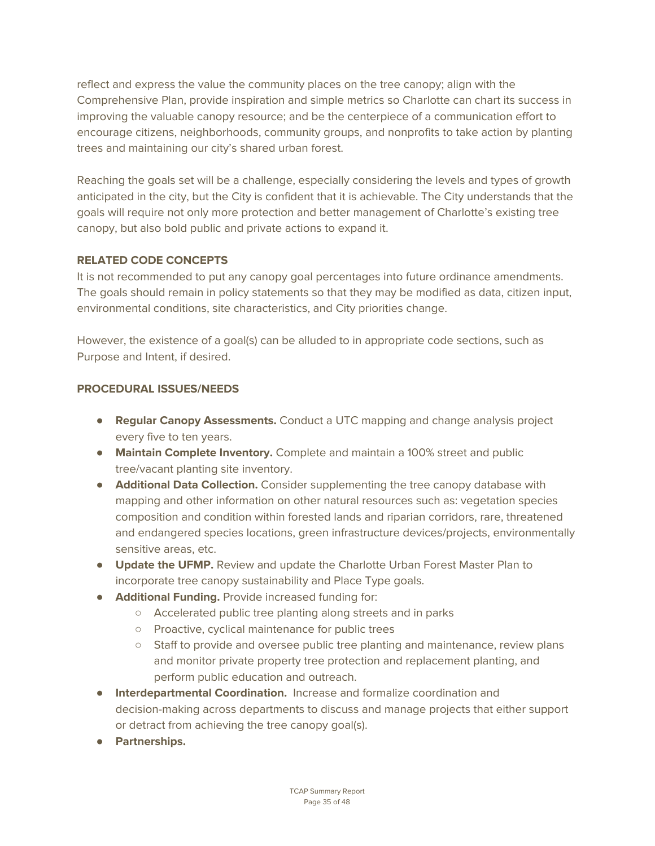reflect and express the value the community places on the tree canopy; align with the Comprehensive Plan, provide inspiration and simple metrics so Charlotte can chart its success in improving the valuable canopy resource; and be the centerpiece of a communication effort to encourage citizens, neighborhoods, community groups, and nonprofits to take action by planting trees and maintaining our city's shared urban forest.

Reaching the goals set will be a challenge, especially considering the levels and types of growth anticipated in the city, but the City is confident that it is achievable. The City understands that the goals will require not only more protection and better management of Charlotte's existing tree canopy, but also bold public and private actions to expand it.

#### **RELATED CODE CONCEPTS**

It is not recommended to put any canopy goal percentages into future ordinance amendments. The goals should remain in policy statements so that they may be modified as data, citizen input, environmental conditions, site characteristics, and City priorities change.

However, the existence of a goal(s) can be alluded to in appropriate code sections, such as Purpose and Intent, if desired.

#### **PROCEDURAL ISSUES/NEEDS**

- **Regular Canopy Assessments.** Conduct a UTC mapping and change analysis project every five to ten years.
- **Maintain Complete Inventory.** Complete and maintain a 100% street and public tree/vacant planting site inventory.
- **Additional Data Collection.** Consider supplementing the tree canopy database with mapping and other information on other natural resources such as: vegetation species composition and condition within forested lands and riparian corridors, rare, threatened and endangered species locations, green infrastructure devices/projects, environmentally sensitive areas, etc.
- **Update the UFMP.** Review and update the Charlotte Urban Forest Master Plan to incorporate tree canopy sustainability and Place Type goals.
- **Additional Funding.** Provide increased funding for:
	- Accelerated public tree planting along streets and in parks
	- Proactive, cyclical maintenance for public trees
	- Staff to provide and oversee public tree planting and maintenance, review plans and monitor private property tree protection and replacement planting, and perform public education and outreach.
- **Interdepartmental Coordination.** Increase and formalize coordination and decision-making across departments to discuss and manage projects that either support or detract from achieving the tree canopy goal(s).
- **Partnerships.**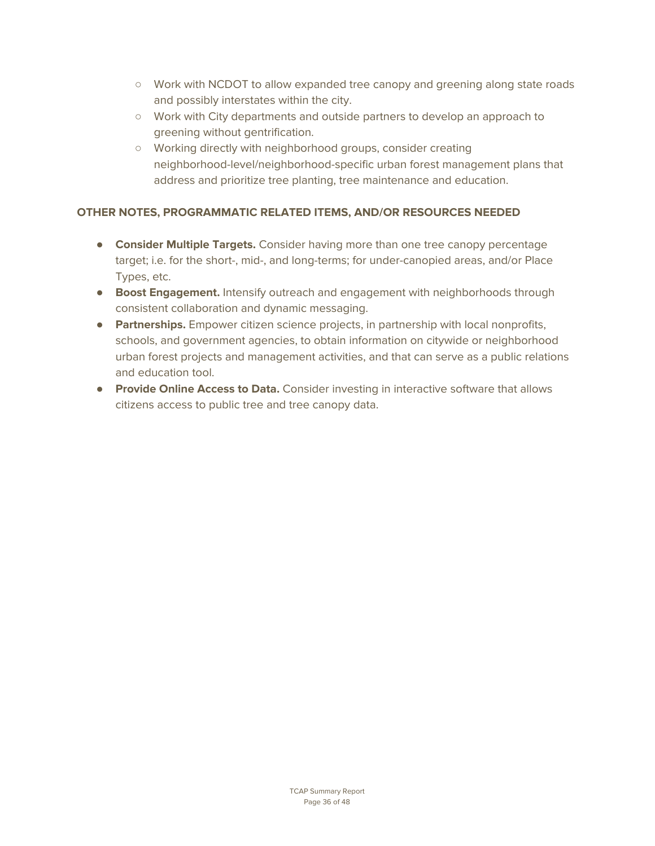- Work with NCDOT to allow expanded tree canopy and greening along state roads and possibly interstates within the city.
- Work with City departments and outside partners to develop an approach to greening without gentrification.
- Working directly with neighborhood groups, consider creating neighborhood-level/neighborhood-specific urban forest management plans that address and prioritize tree planting, tree maintenance and education.

#### **OTHER NOTES, PROGRAMMATIC RELATED ITEMS, AND/OR RESOURCES NEEDED**

- **Consider Multiple Targets.** Consider having more than one tree canopy percentage target; i.e. for the short-, mid-, and long-terms; for under-canopied areas, and/or Place Types, etc.
- **Boost Engagement.** Intensify outreach and engagement with neighborhoods through consistent collaboration and dynamic messaging.
- **Partnerships.** Empower citizen science projects, in partnership with local nonprofits, schools, and government agencies, to obtain information on citywide or neighborhood urban forest projects and management activities, and that can serve as a public relations and education tool.
- **Provide Online Access to Data.** Consider investing in interactive software that allows citizens access to public tree and tree canopy data.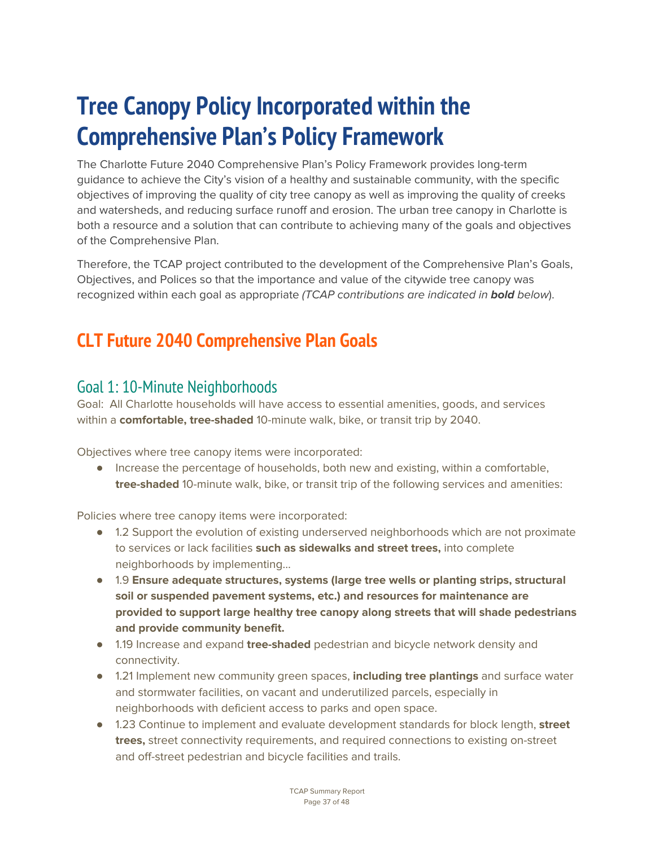# <span id="page-36-0"></span>**Tree Canopy Policy Incorporated within the Comprehensive Plan's Policy Framework**

The Charlotte Future 2040 Comprehensive Plan's Policy Framework provides long-term guidance to achieve the City's vision of a healthy and sustainable community, with the specific objectives of improving the quality of city tree canopy as well as improving the quality of creeks and watersheds, and reducing surface runoff and erosion. The urban tree canopy in Charlotte is both a resource and a solution that can contribute to achieving many of the goals and objectives of the Comprehensive Plan.

Therefore, the TCAP project contributed to the development of the Comprehensive Plan's Goals, Objectives, and Polices so that the importance and value of the citywide tree canopy was recognized within each goal as appropriate (TCAP contributions are indicated in **bold** below).

# <span id="page-36-1"></span>**CLT Future 2040 Comprehensive Plan Goals**

### <span id="page-36-2"></span>Goal 1: 10-Minute Neighborhoods

Goal: All Charlotte households will have access to essential amenities, goods, and services within a **comfortable, tree-shaded** 10-minute walk, bike, or transit trip by 2040.

Objectives where tree canopy items were incorporated:

● Increase the percentage of households, both new and existing, within a comfortable, **tree-shaded** 10-minute walk, bike, or transit trip of the following services and amenities:

Policies where tree canopy items were incorporated:

- 1.2 Support the evolution of existing underserved neighborhoods which are not proximate to services or lack facilities **such as sidewalks and street trees,** into complete neighborhoods by implementing…
- 1.9 **Ensure adequate structures, systems (large tree wells or planting strips, structural soil or suspended pavement systems, etc.) and resources for maintenance are provided to support large healthy tree canopy along streets that will shade pedestrians and provide community benefit.**
- 1.19 Increase and expand **tree-shaded** pedestrian and bicycle network density and connectivity.
- 1.21 Implement new community green spaces, **including tree plantings** and surface water and stormwater facilities, on vacant and underutilized parcels, especially in neighborhoods with deficient access to parks and open space.
- 1.23 Continue to implement and evaluate development standards for block length, **street trees,** street connectivity requirements, and required connections to existing on-street and off-street pedestrian and bicycle facilities and trails.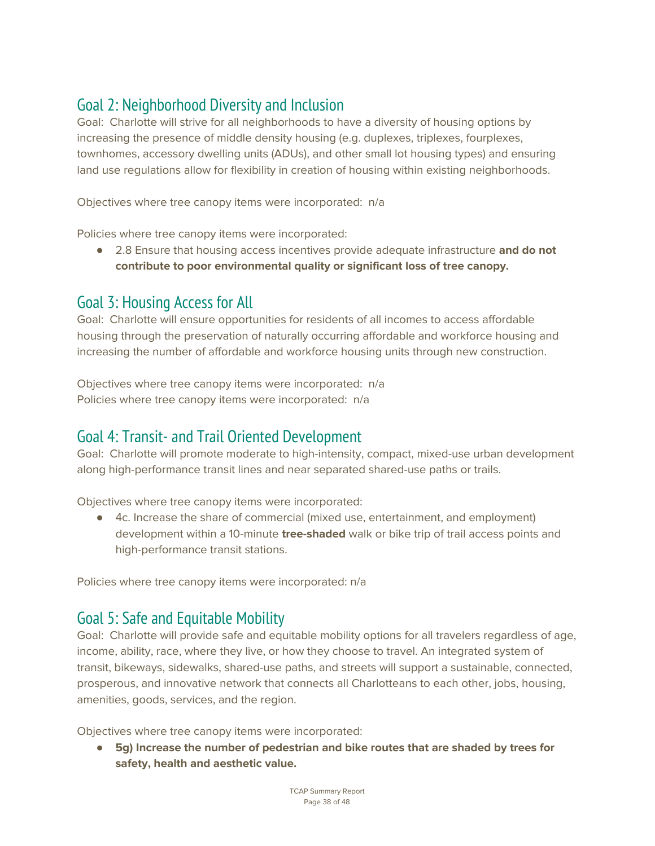### <span id="page-37-0"></span>Goal 2: Neighborhood Diversity and Inclusion

Goal: Charlotte will strive for all neighborhoods to have a diversity of housing options by increasing the presence of middle density housing (e.g. duplexes, triplexes, fourplexes, townhomes, accessory dwelling units (ADUs), and other small lot housing types) and ensuring land use regulations allow for flexibility in creation of housing within existing neighborhoods.

Objectives where tree canopy items were incorporated: n/a

Policies where tree canopy items were incorporated:

● 2.8 Ensure that housing access incentives provide adequate infrastructure **and do not contribute to poor environmental quality or significant loss of tree canopy.**

### <span id="page-37-1"></span>Goal 3: Housing Access for All

Goal: Charlotte will ensure opportunities for residents of all incomes to access affordable housing through the preservation of naturally occurring affordable and workforce housing and increasing the number of affordable and workforce housing units through new construction.

Objectives where tree canopy items were incorporated: n/a Policies where tree canopy items were incorporated: n/a

### <span id="page-37-2"></span>Goal 4: Transit- and Trail Oriented Development

Goal: Charlotte will promote moderate to high-intensity, compact, mixed-use urban development along high-performance transit lines and near separated shared-use paths or trails.

Objectives where tree canopy items were incorporated:

● 4c. Increase the share of commercial (mixed use, entertainment, and employment) development within a 10-minute **tree-shaded** walk or bike trip of trail access points and high-performance transit stations.

<span id="page-37-3"></span>Policies where tree canopy items were incorporated: n/a

### Goal 5: Safe and Equitable Mobility

Goal: Charlotte will provide safe and equitable mobility options for all travelers regardless of age, income, ability, race, where they live, or how they choose to travel. An integrated system of transit, bikeways, sidewalks, shared-use paths, and streets will support a sustainable, connected, prosperous, and innovative network that connects all Charlotteans to each other, jobs, housing, amenities, goods, services, and the region.

Objectives where tree canopy items were incorporated:

**● 5g) Increase the number of pedestrian and bike routes that are shaded by trees for safety, health and aesthetic value.**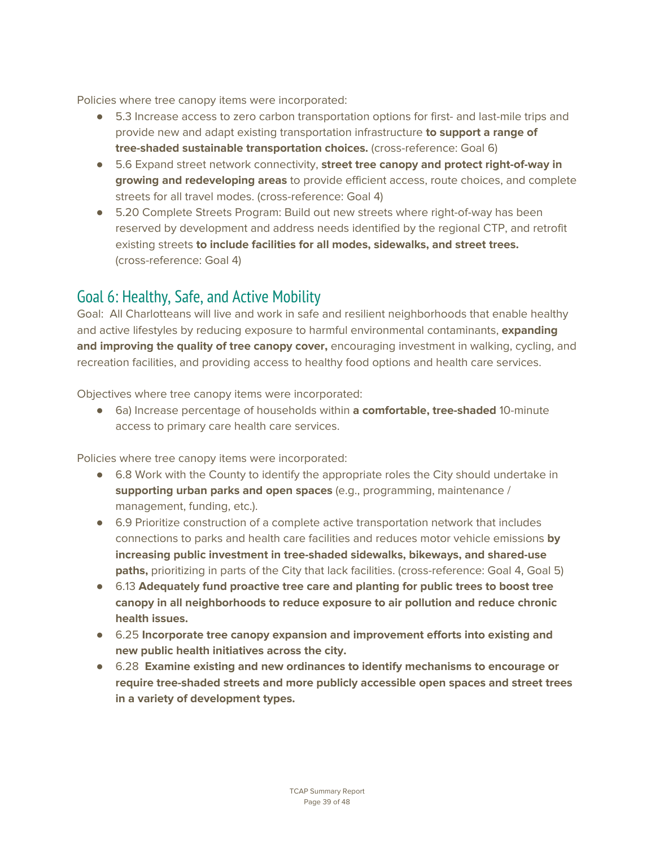Policies where tree canopy items were incorporated:

- 5.3 Increase access to zero carbon transportation options for first- and last-mile trips and provide new and adapt existing transportation infrastructure **to support a range of tree-shaded sustainable transportation choices.** (cross-reference: Goal 6)
- 5.6 Expand street network connectivity, **street tree canopy and protect right-of-way in growing and redeveloping areas** to provide efficient access, route choices, and complete streets for all travel modes. (cross-reference: Goal 4)
- 5.20 Complete Streets Program: Build out new streets where right-of-way has been reserved by development and address needs identified by the regional CTP, and retrofit existing streets **to include facilities for all modes, sidewalks, and street trees.** (cross-reference: Goal 4)

### <span id="page-38-0"></span>Goal 6: Healthy, Safe, and Active Mobility

Goal: All Charlotteans will live and work in safe and resilient neighborhoods that enable healthy and active lifestyles by reducing exposure to harmful environmental contaminants, **expanding and improving the quality of tree canopy cover,** encouraging investment in walking, cycling, and recreation facilities, and providing access to healthy food options and health care services.

Objectives where tree canopy items were incorporated:

● 6a) Increase percentage of households within **a comfortable, tree-shaded** 10-minute access to primary care health care services.

Policies where tree canopy items were incorporated:

- 6.8 Work with the County to identify the appropriate roles the City should undertake in **supporting urban parks and open spaces** (e.g., programming, maintenance / management, funding, etc.).
- 6.9 Prioritize construction of a complete active transportation network that includes connections to parks and health care facilities and reduces motor vehicle emissions **by increasing public investment in tree-shaded sidewalks, bikeways, and shared-use paths,** prioritizing in parts of the City that lack facilities. (cross-reference: Goal 4, Goal 5)
- **●** 6.13 **Adequately fund proactive tree care and planting for public trees to boost tree canopy in all neighborhoods to reduce exposure to air pollution and reduce chronic health issues.**
- 6.25 **Incorporate tree canopy expansion and improvement efforts into existing and new public health initiatives across the city.**
- **●** 6.28 **Examine existing and new ordinances to identify mechanisms to encourage or require tree-shaded streets and more publicly accessible open spaces and street trees in a variety of development types.**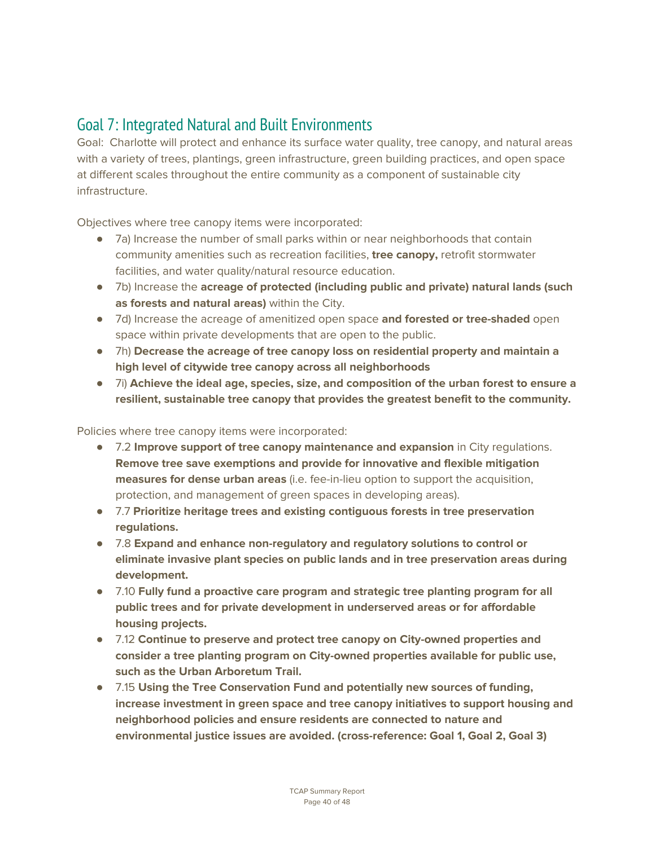### Goal 7: Integrated Natural and Built Environments

Goal: Charlotte will protect and enhance its surface water quality, tree canopy, and natural areas with a variety of trees, plantings, green infrastructure, green building practices, and open space at different scales throughout the entire community as a component of sustainable city infrastructure.

Objectives where tree canopy items were incorporated:

- 7a) Increase the number of small parks within or near neighborhoods that contain community amenities such as recreation facilities, **tree canopy,** retrofit stormwater facilities, and water quality/natural resource education.
- 7b) Increase the **acreage of protected (including public and private) natural lands (such as forests and natural areas)** within the City.
- 7d) Increase the acreage of amenitized open space **and forested or tree-shaded** open space within private developments that are open to the public.
- 7h) **Decrease the acreage of tree canopy loss on residential property and maintain a high level of citywide tree canopy across all neighborhoods**
- 7i) **Achieve the ideal age, species, size, and composition of the urban forest to ensure a resilient, sustainable tree canopy that provides the greatest benefit to the community.**

Policies where tree canopy items were incorporated:

- 7.2 **Improve support of tree canopy maintenance and expansion** in City regulations. **Remove tree save exemptions and provide for innovative and flexible mitigation measures for dense urban areas** (i.e. fee-in-lieu option to support the acquisition, protection, and management of green spaces in developing areas).
- 7.7 **Prioritize heritage trees and existing contiguous forests in tree preservation regulations.**
- **●** 7.8 **Expand and enhance non-regulatory and regulatory solutions to control or eliminate invasive plant species on public lands and in tree preservation areas during development.**
- **●** 7.10 **Fully fund a proactive care program and strategic tree planting program for all public trees and for private development in underserved areas or for affordable housing projects.**
- **●** 7.12 **Continue to preserve and protect tree canopy on City-owned properties and consider a tree planting program on City-owned properties available for public use, such as the Urban Arboretum Trail.**
- **●** 7.15 **Using the Tree Conservation Fund and potentially new sources of funding, increase investment in green space and tree canopy initiatives to support housing and neighborhood policies and ensure residents are connected to nature and environmental justice issues are avoided. (cross-reference: Goal 1, Goal 2, Goal 3)**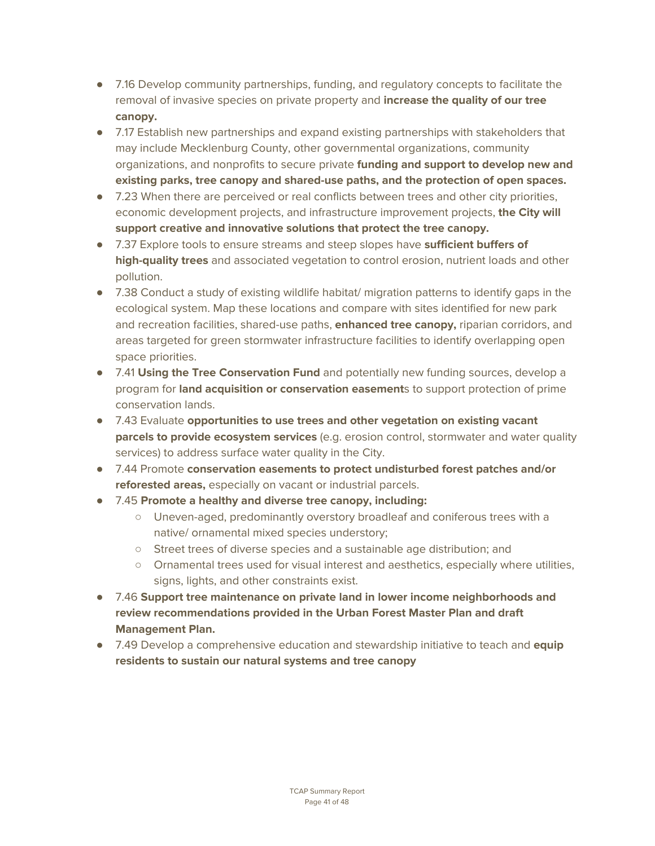- **●** 7.16 Develop community partnerships, funding, and regulatory concepts to facilitate the removal of invasive species on private property and **increase the quality of our tree canopy.**
- 7.17 Establish new partnerships and expand existing partnerships with stakeholders that may include Mecklenburg County, other governmental organizations, community organizations, and nonprofits to secure private **funding and support to develop new and existing parks, tree canopy and shared-use paths, and the protection of open spaces.**
- 7.23 When there are perceived or real conflicts between trees and other city priorities, economic development projects, and infrastructure improvement projects, **the City will support creative and innovative solutions that protect the tree canopy.**
- 7.37 Explore tools to ensure streams and steep slopes have **sufficient buffers of high-quality trees** and associated vegetation to control erosion, nutrient loads and other pollution.
- 7.38 Conduct a study of existing wildlife habitat/ migration patterns to identify gaps in the ecological system. Map these locations and compare with sites identified for new park and recreation facilities, shared-use paths, **enhanced tree canopy,** riparian corridors, and areas targeted for green stormwater infrastructure facilities to identify overlapping open space priorities.
- 7.41 **Using the Tree Conservation Fund** and potentially new funding sources, develop a program for **land acquisition or conservation easement**s to support protection of prime conservation lands.
- 7.43 Evaluate **opportunities to use trees and other vegetation on existing vacant parcels to provide ecosystem services** (e.g. erosion control, stormwater and water quality services) to address surface water quality in the City.
- 7.44 Promote **conservation easements to protect undisturbed forest patches and/or reforested areas,** especially on vacant or industrial parcels.
- 7.45 **Promote a healthy and diverse tree canopy, including:**
	- Uneven-aged, predominantly overstory broadleaf and coniferous trees with a native/ ornamental mixed species understory;
	- Street trees of diverse species and a sustainable age distribution; and
	- Ornamental trees used for visual interest and aesthetics, especially where utilities, signs, lights, and other constraints exist.
- 7.46 **Support tree maintenance on private land in lower income neighborhoods and review recommendations provided in the Urban Forest Master Plan and draft Management Plan.**
- <span id="page-40-0"></span>● 7.49 Develop a comprehensive education and stewardship initiative to teach and **equip residents to sustain our natural systems and tree canopy**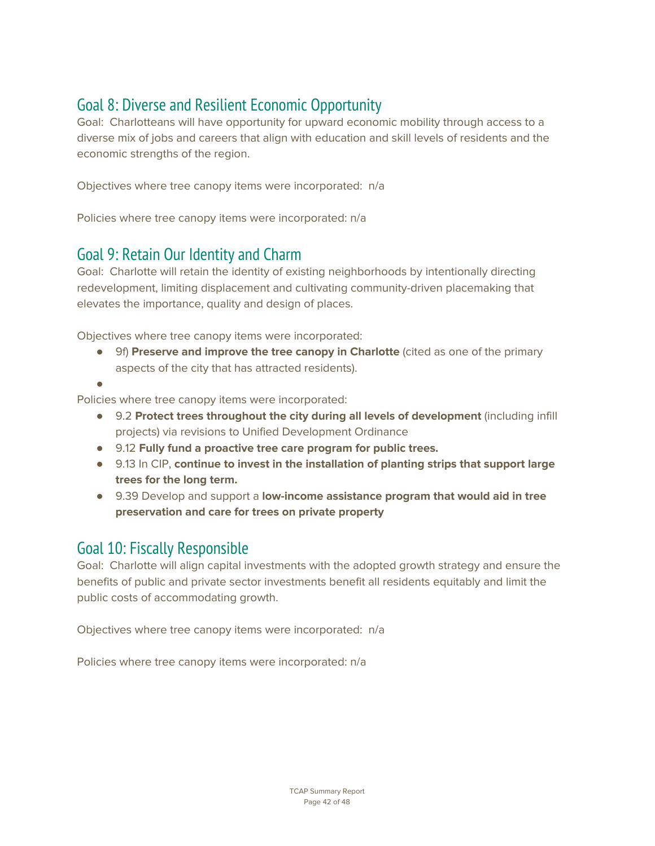### Goal 8: Diverse and Resilient Economic Opportunity

Goal: Charlotteans will have opportunity for upward economic mobility through access to a diverse mix of jobs and careers that align with education and skill levels of residents and the economic strengths of the region.

Objectives where tree canopy items were incorporated: n/a

<span id="page-41-0"></span>Policies where tree canopy items were incorporated: n/a

### Goal 9: Retain Our Identity and Charm

Goal: Charlotte will retain the identity of existing neighborhoods by intentionally directing redevelopment, limiting displacement and cultivating community-driven placemaking that elevates the importance, quality and design of places.

Objectives where tree canopy items were incorporated:

- 9f) **Preserve and improve the tree canopy in Charlotte** (cited as one of the primary aspects of the city that has attracted residents).
- ●

Policies where tree canopy items were incorporated:

- 9.2 **Protect trees throughout the city during all levels of development** (including infill projects) via revisions to Unified Development Ordinance
- 9.12 **Fully fund a proactive tree care program for public trees.**
- **●** 9.13 In CIP, **continue to invest in the installation of planting strips that support large trees for the long term.**
- **●** 9.39 Develop and support a **low-income assistance program that would aid in tree preservation and care for trees on private property**

### <span id="page-41-1"></span>Goal 10: Fiscally Responsible

Goal: Charlotte will align capital investments with the adopted growth strategy and ensure the benefits of public and private sector investments benefit all residents equitably and limit the public costs of accommodating growth.

Objectives where tree canopy items were incorporated: n/a

<span id="page-41-2"></span>Policies where tree canopy items were incorporated: n/a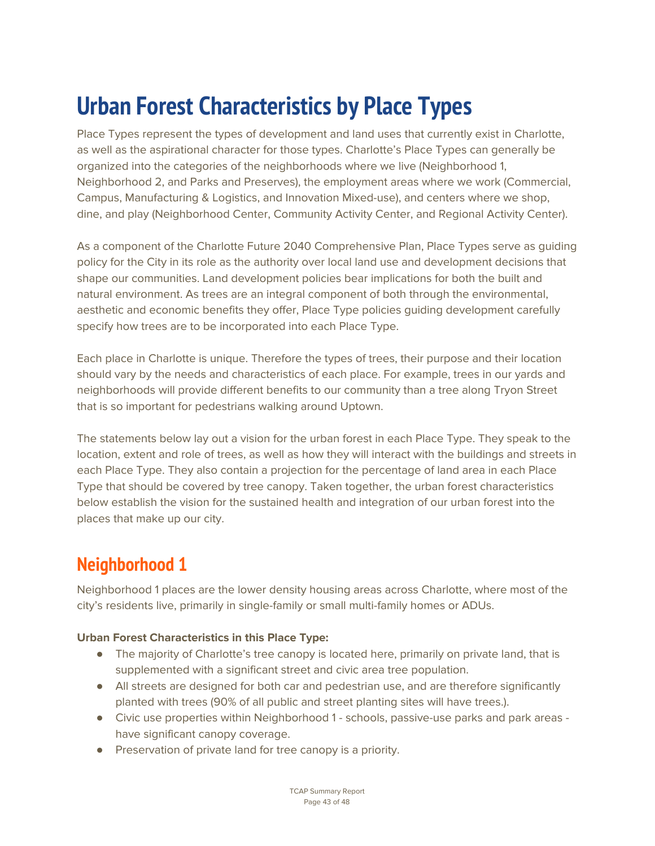# **Urban Forest Characteristics by Place Types**

Place Types represent the types of development and land uses that currently exist in Charlotte, as well as the aspirational character for those types. Charlotte's Place Types can generally be organized into the categories of the neighborhoods where we live (Neighborhood 1, Neighborhood 2, and Parks and Preserves), the employment areas where we work (Commercial, Campus, Manufacturing & Logistics, and Innovation Mixed-use), and centers where we shop, dine, and play (Neighborhood Center, Community Activity Center, and Regional Activity Center).

As a component of the Charlotte Future 2040 Comprehensive Plan, Place Types serve as guiding policy for the City in its role as the authority over local land use and development decisions that shape our communities. Land development policies bear implications for both the built and natural environment. As trees are an integral component of both through the environmental, aesthetic and economic benefits they offer, Place Type policies guiding development carefully specify how trees are to be incorporated into each Place Type.

Each place in Charlotte is unique. Therefore the types of trees, their purpose and their location should vary by the needs and characteristics of each place. For example, trees in our yards and neighborhoods will provide different benefits to our community than a tree along Tryon Street that is so important for pedestrians walking around Uptown.

The statements below lay out a vision for the urban forest in each Place Type. They speak to the location, extent and role of trees, as well as how they will interact with the buildings and streets in each Place Type. They also contain a projection for the percentage of land area in each Place Type that should be covered by tree canopy. Taken together, the urban forest characteristics below establish the vision for the sustained health and integration of our urban forest into the places that make up our city.

# <span id="page-42-0"></span>**Neighborhood 1**

Neighborhood 1 places are the lower density housing areas across Charlotte, where most of the city's residents live, primarily in single-family or small multi-family homes or ADUs.

#### **Urban Forest Characteristics in this Place Type:**

- The majority of Charlotte's tree canopy is located here, primarily on private land, that is supplemented with a significant street and civic area tree population.
- All streets are designed for both car and pedestrian use, and are therefore significantly planted with trees (90% of all public and street planting sites will have trees.).
- Civic use properties within Neighborhood 1 schools, passive-use parks and park areas have significant canopy coverage.
- Preservation of private land for tree canopy is a priority.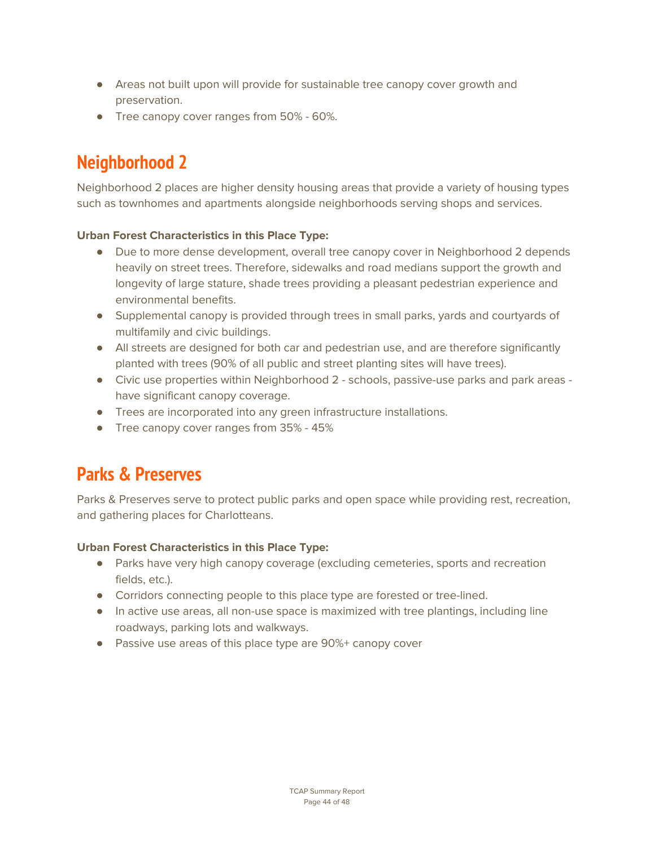- Areas not built upon will provide for sustainable tree canopy cover growth and preservation.
- <span id="page-43-0"></span>● Tree canopy cover ranges from 50% - 60%.

# **Neighborhood 2**

Neighborhood 2 places are higher density housing areas that provide a variety of housing types such as townhomes and apartments alongside neighborhoods serving shops and services.

#### **Urban Forest Characteristics in this Place Type:**

- Due to more dense development, overall tree canopy cover in Neighborhood 2 depends heavily on street trees. Therefore, sidewalks and road medians support the growth and longevity of large stature, shade trees providing a pleasant pedestrian experience and environmental benefits.
- Supplemental canopy is provided through trees in small parks, yards and courtyards of multifamily and civic buildings.
- All streets are designed for both car and pedestrian use, and are therefore significantly planted with trees (90% of all public and street planting sites will have trees).
- Civic use properties within Neighborhood 2 schools, passive-use parks and park areas have significant canopy coverage.
- Trees are incorporated into any green infrastructure installations.
- <span id="page-43-1"></span>● Tree canopy cover ranges from 35% - 45%

## **Parks & Preserves**

Parks & Preserves serve to protect public parks and open space while providing rest, recreation, and gathering places for Charlotteans.

#### **Urban Forest Characteristics in this Place Type:**

- Parks have very high canopy coverage (excluding cemeteries, sports and recreation fields, etc.).
- Corridors connecting people to this place type are forested or tree-lined.
- In active use areas, all non-use space is maximized with tree plantings, including line roadways, parking lots and walkways.
- <span id="page-43-2"></span>● Passive use areas of this place type are 90%+ canopy cover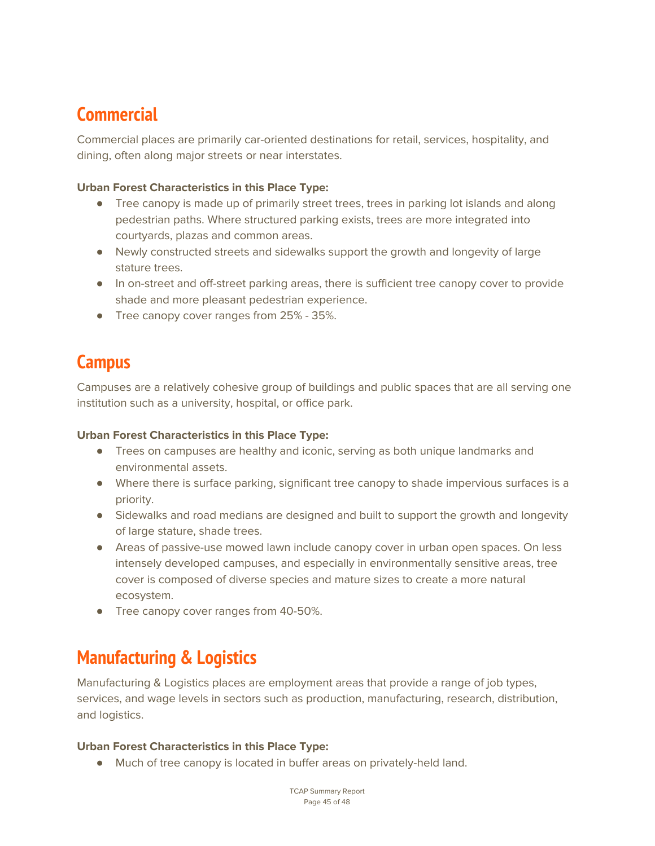### **Commercial**

Commercial places are primarily car-oriented destinations for retail, services, hospitality, and dining, often along major streets or near interstates.

#### **Urban Forest Characteristics in this Place Type:**

- Tree canopy is made up of primarily street trees, trees in parking lot islands and along pedestrian paths. Where structured parking exists, trees are more integrated into courtyards, plazas and common areas.
- Newly constructed streets and sidewalks support the growth and longevity of large stature trees.
- In on-street and off-street parking areas, there is sufficient tree canopy cover to provide shade and more pleasant pedestrian experience.
- <span id="page-44-0"></span>● Tree canopy cover ranges from 25% - 35%.

## **Campus**

Campuses are a relatively cohesive group of buildings and public spaces that are all serving one institution such as a university, hospital, or office park.

#### **Urban Forest Characteristics in this Place Type:**

- Trees on campuses are healthy and iconic, serving as both unique landmarks and environmental assets.
- Where there is surface parking, significant tree canopy to shade impervious surfaces is a priority.
- Sidewalks and road medians are designed and built to support the growth and longevity of large stature, shade trees.
- Areas of passive-use mowed lawn include canopy cover in urban open spaces. On less intensely developed campuses, and especially in environmentally sensitive areas, tree cover is composed of diverse species and mature sizes to create a more natural ecosystem.
- <span id="page-44-1"></span>● Tree canopy cover ranges from 40-50%.

### **Manufacturing & Logistics**

Manufacturing & Logistics places are employment areas that provide a range of job types, services, and wage levels in sectors such as production, manufacturing, research, distribution, and logistics.

#### **Urban Forest Characteristics in this Place Type:**

● Much of tree canopy is located in buffer areas on privately-held land.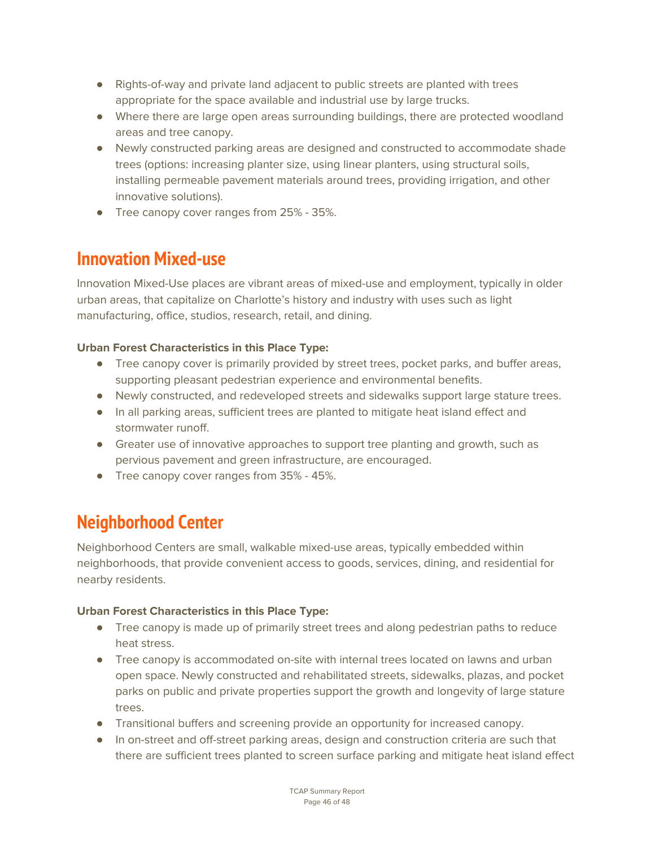- Rights-of-way and private land adjacent to public streets are planted with trees appropriate for the space available and industrial use by large trucks.
- Where there are large open areas surrounding buildings, there are protected woodland areas and tree canopy.
- Newly constructed parking areas are designed and constructed to accommodate shade trees (options: increasing planter size, using linear planters, using structural soils, installing permeable pavement materials around trees, providing irrigation, and other innovative solutions).
- <span id="page-45-0"></span>● Tree canopy cover ranges from 25% - 35%.

## **Innovation Mixed-use**

Innovation Mixed-Use places are vibrant areas of mixed-use and employment, typically in older urban areas, that capitalize on Charlotte's history and industry with uses such as light manufacturing, office, studios, research, retail, and dining.

#### **Urban Forest Characteristics in this Place Type:**

- Tree canopy cover is primarily provided by street trees, pocket parks, and buffer areas, supporting pleasant pedestrian experience and environmental benefits.
- Newly constructed, and redeveloped streets and sidewalks support large stature trees.
- In all parking areas, sufficient trees are planted to mitigate heat island effect and stormwater runoff.
- Greater use of innovative approaches to support tree planting and growth, such as pervious pavement and green infrastructure, are encouraged.
- <span id="page-45-1"></span>● Tree canopy cover ranges from 35% - 45%.

# **Neighborhood Center**

Neighborhood Centers are small, walkable mixed-use areas, typically embedded within neighborhoods, that provide convenient access to goods, services, dining, and residential for nearby residents.

#### **Urban Forest Characteristics in this Place Type:**

- Tree canopy is made up of primarily street trees and along pedestrian paths to reduce heat stress.
- Tree canopy is accommodated on-site with internal trees located on lawns and urban open space. Newly constructed and rehabilitated streets, sidewalks, plazas, and pocket parks on public and private properties support the growth and longevity of large stature trees.
- Transitional buffers and screening provide an opportunity for increased canopy.
- In on-street and off-street parking areas, design and construction criteria are such that there are sufficient trees planted to screen surface parking and mitigate heat island effect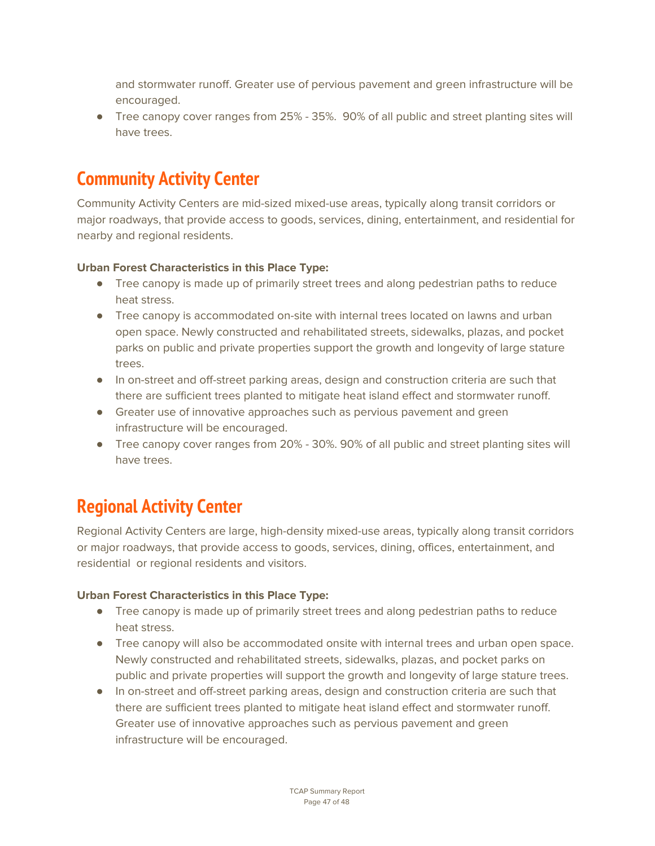and stormwater runoff. Greater use of pervious pavement and green infrastructure will be encouraged.

● Tree canopy cover ranges from 25% - 35%. 90% of all public and street planting sites will have trees.

# <span id="page-46-0"></span>**Community Activity Center**

Community Activity Centers are mid-sized mixed-use areas, typically along transit corridors or major roadways, that provide access to goods, services, dining, entertainment, and residential for nearby and regional residents.

#### **Urban Forest Characteristics in this Place Type:**

- Tree canopy is made up of primarily street trees and along pedestrian paths to reduce heat stress.
- Tree canopy is accommodated on-site with internal trees located on lawns and urban open space. Newly constructed and rehabilitated streets, sidewalks, plazas, and pocket parks on public and private properties support the growth and longevity of large stature trees.
- In on-street and off-street parking areas, design and construction criteria are such that there are sufficient trees planted to mitigate heat island effect and stormwater runoff.
- Greater use of innovative approaches such as pervious pavement and green infrastructure will be encouraged.
- Tree canopy cover ranges from 20% 30%. 90% of all public and street planting sites will have trees.

## <span id="page-46-1"></span>**Regional Activity Center**

Regional Activity Centers are large, high-density mixed-use areas, typically along transit corridors or major roadways, that provide access to goods, services, dining, offices, entertainment, and residential or regional residents and visitors.

#### **Urban Forest Characteristics in this Place Type:**

- Tree canopy is made up of primarily street trees and along pedestrian paths to reduce heat stress.
- Tree canopy will also be accommodated onsite with internal trees and urban open space. Newly constructed and rehabilitated streets, sidewalks, plazas, and pocket parks on public and private properties will support the growth and longevity of large stature trees.
- In on-street and off-street parking areas, design and construction criteria are such that there are sufficient trees planted to mitigate heat island effect and stormwater runoff. Greater use of innovative approaches such as pervious pavement and green infrastructure will be encouraged.